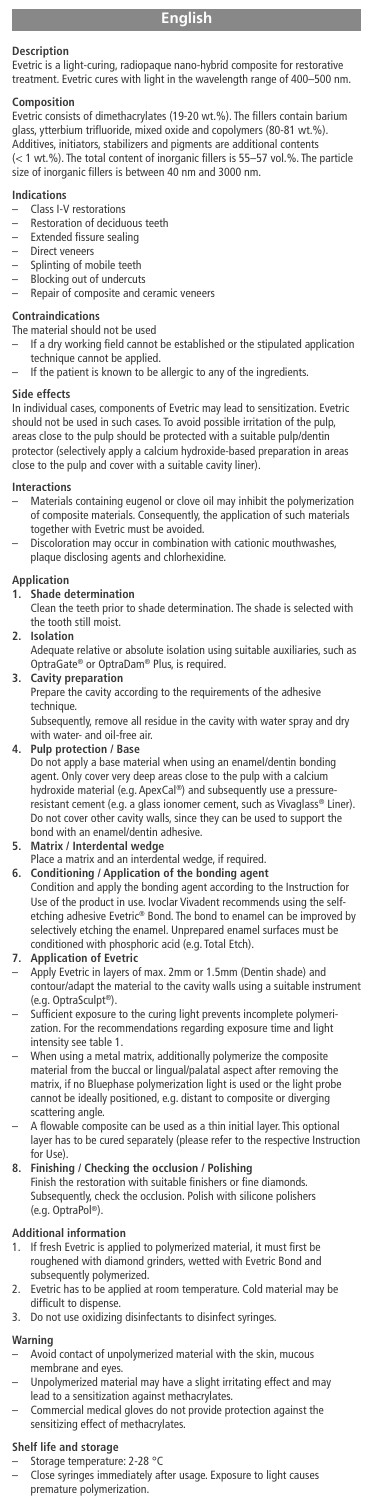## **Description**

Evetric is a light-curing, radiopaque nano-hybrid composite for restorative treatment. Evetric cures with light in the wavelength range of 400–500 nm.

**Composition**<br>Evetric consists of dimethacrylates (19-20 wt.%). The fillers contain barium glass, ytterbium trifluoride, mixed oxide and copolymers (80-81 wt.%). Additives, initiators, stabilizers and pigments are additional contents (< 1 wt.%). The total content of inorganic fillers is 55–57 vol.%. The particle size of inorganic fillers is between 40 nm and 3000 nm.

### **Indications**

- Class I-V restorations
- $-$  Restoration of deciduous teeth<br> $-$  Extended fissure sealing
- Extended fissure sealing
- Direct veneers
- Splinting of mobile teeth Blocking out of undercuts
- Repair of composite and ceramic veneers

## **Contraindications**

- The material should not be used
- If a dry working field cannot be established or the stipulated application
- technique cannot be applied. If the patient is known to be allergic to any of the ingredients.

### **Side effects**

In individual cases, components of Evetric may lead to sensitization. Evetric should not be used in such cases. To avoid possible irritation of the pulp, areas close to the pulp should be protected with a suitable pulp/dentin protector (selectively apply a calcium hydroxide-based preparation in areas close to the pulp and cover with a suitable cavity liner).

- **Interactions** Materials containing eugenol or clove oil may inhibit the polymerization of composite materials. Consequently, the application of such materials together with Evetric must be avoided.
- Discoloration may occur in combination with cationic mouthwashes, plaque disclosing agents and chlorhexidine.

# **Application**

- **1. Shade determination**
- Clean the teeth prior to shade determination. The shade is selected with the tooth still moist.

## **2. Isolation**

Adequate relative or absolute isolation using suitable auxiliaries, such as OptraGate® or OptraDam® Plus, is required.

# **3. Cavity preparation**

Prepare the cavity according to the requirements of the adhesive technique.

ve all residue in the cavity with water spray and dry Subsequently, remove all re<br>with water- and oil-free air.

## **4. Pulp protection / Base**

Do not apply a base material when using an enamel/dentin bonding agent. Only cover very deep areas close to the pulp with a calcium hydroxide material (e.g. ApexCal ®) and subsequently use a pressure-resistant cement (e.g. a glass ionomer cement, such as Vivaglass® Liner). Do not cover other cavity walls, since they can be used to support the bond with an enamel/dentin adhesive.

**5. Matrix / Interdental wedge** Place a matrix and an interdental wedge, if required.

**6. Conditioning / Application of the bonding agent** Condition and apply the bonding agent according to the Instruction for Use of the product in use. Ivoclar Vivadent recommends using the selfetching adhesive Evetric® Bond. The bond to enamel can be improved by selectively etching the enamel. Unprepared enamel surfaces must be conditioned with phosphoric acid (e.g. Total Etch) ed with phosphoric acid (e.g. Total Etch).

#### **7. Application of Evetric**

- Apply Evetric in layers of max. 2mm or 1.5mm (Dentin shade) and contour/adapt the material to the cavity walls using a suitable instrument (e.g. OptraSculpt ®).
- Sufficient exposure to the curing light prevents incomplete polym zation. For the recommendations regarding exposure time and light intensity see table 1.
- When using a metal matrix, additionally polymerize the composite material from the buccal or lingual/palatal aspect after removing the matrix, if no Bluephase polymerization light is used or the light probe cannot be ideally positioned, e.g. distant to composite or diverging scattering angle
- A flowable composite can be used as a thin initial layer. This optional layer has to be cured separately (please refer to the respective Instruction for Use).

## **8. Finishing / Checking the occlusion / Polishing**

Finish the restoration with suitable finishers or fine diamonds. Subsequently, check the occlusion. Polish with silicone polishers (e.g. OptraPol ®).

## **Additional information**

- 1. If fresh Evetric is applied to polymerized material, it must first be roughened with diamond grinders, wetted with Evetric Bond and subsequently polymerized.
- 2. Evetric has to be applied at room temperature. Cold material may be difficult to dispense
- 3. Do not use oxidizing disinfectants to disinfect syringes.

## **Warning**

- Avoid contact of unpolymerized material with the skin, mucous membrane and eyes.
- Unpolymerized material may have a slight irritating effect and may
- lead to a sensitization against methacrylates. Commercial medical gloves do not provide protection against the sensitizing effect of methacrylates.

## **Shelf life and storage**

- 
- Storage temperature: 2-28 °C Close syringes immediately after usage. Exposure to light causes premature polymerization.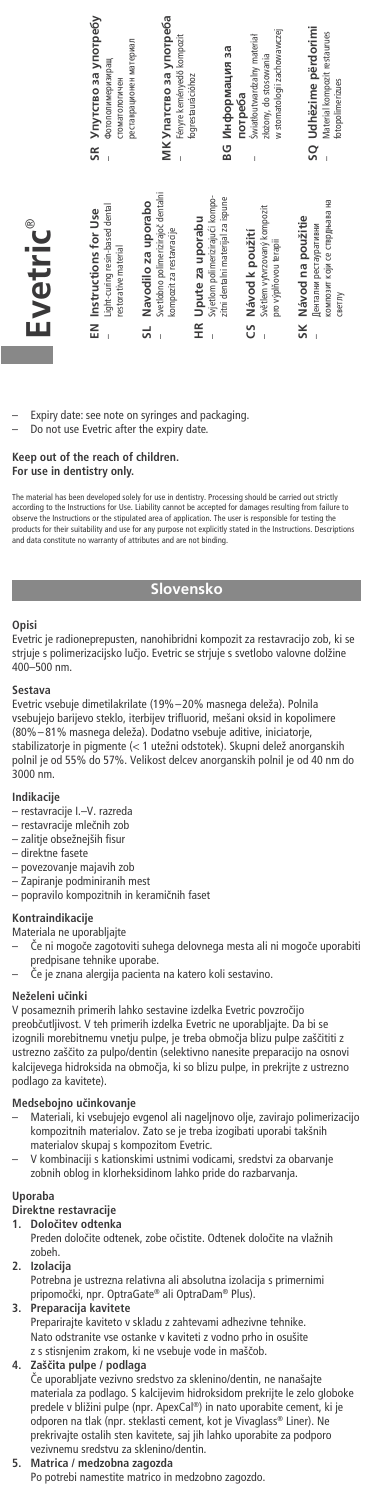

– Expiry date: see note on syringes and packaging. – Do not use Evetric after the expiry date.

# **Keep out of the reach of children. For use in dentistry only.**

The material has been developed solely tor use in dentistry. Processing should be carried out strictly<br>according to the Instructions for Use. Liability cannot be accepted for damages resulting from failure to<br>observe the I

## **Slovensko**

## **Opisi**

®

Evetric je radioneprepusten, nanohibridni kompozit za restavracijo zob, ki se strjuje s polimerizacijsko luãjo. Evetric se strjuje s svetlobo valovne dolžine 400–500 nm.

### **Sestava**

Evetric vsebuje dimetilakrilate (19%–20% masnega deleža). Polnila vsebujejo barijevo steklo, iterbijev trifluorid, mešani oksid in kopolimere (80%– 81% masnega deleža). Dodatno vsebuje aditive, iniciatorje, stabilizatorje in pigmente (< 1 utežni odstotek). Skupni delež anorganskih polnil je od 55% do 57%. Velikost delcev anorganskih polnil je od 40 nm do 3000 nm.

- **Indikacije** restavracije I.–V. razreda
- restavracije mleãnih zob
- zalitje obsežnejših fisur – direktne fasete
- 
- povezovanje majavih zob
- Zapiranje podminiranih mest popravilo kompozitnih in keramiãnih faset

## **Kontraindikacije**

- Materiala ne uporabljajte
- Ce ni mogoče zagotoviti suhega delovnega mesta ali ni mogoče uporabiti<br>predpisane tehnike uporabe.
- âe je znana alergija pacienta na katero koli sestavino.

## **Neželeni uãinki**

V posameznih primerih lahko sestavine izdelka Evetric povzroãijo preobãutljivost. V teh primerih izdelka Evetric ne uporabljajte. Da bi se izognili morebitnemu vnetju pulpe, je treba območja blizu pulpe zaščititi z ustrezno zašãito za pulpo/dentin (selektivno nanesite preparacijo na osnovi kalcijevega hidroksida na obmoãja, ki so blizu pulpe, in prekrijte z ustrezno podlago za kavitete).

## **Medsebojno uãinkovanje**

- Materiali, ki vsebujejo evgenol ali nageljnovo olje, zavirajo polimerizacijo kompozitnih materialov. Zato se je treba izogibati uporabi takšnih materialov skupaj s kompozitom Evetric.
- V kombinaciji s kationskimi ustnimi vodicami, sredstvi za obarvanje zobnih oblog in klorheksidinom lahko pride do razbarvanja.

## **Uporaba**

- **Direktne restavracije**
- **1. Doloãitev odtenka** Preden doloãite odtenek, zobe oãistite. Odtenek doloãite na vlažnih
- zobeh. **2. Izolacija**
- Potrebna je ustrezna relativna ali absolutna izolacija s primernimi pripomoãki, npr. OptraGate® ali OptraDam® Plus).
- **3. Preparacija kavitete**
- Preparirajte kaviteto v skladu z zahtevami adhezivne tehnike. Nato odstranite vse ostanke v kaviteti z vodno prho in osušite z s stisnjenim zrakom, ki ne vsebuje vode in maščob.

## **4. Zašãita pulpe / podlaga**

âe uporabljate vezivno sredstvo za sklenino/dentin, ne nanašajte materiala za podlago. S kalcijevim hidroksidom prekrijte le zelo globoke predele v bližini pulpe (npr. ApexCal ®) in nato uporabite cement, ki je odporen na tlak (npr. steklasti cement, kot je Vivaglass® Liner). Ne prekrivajte ostalih sten kavitete, saj jih lahko uporabite za podporo vezivnemu sredstvu za sklenino/dentin.

## **5. Matrica / medzobna zagozda**

Po potrebi namestite matrico in medzobno zagozdo.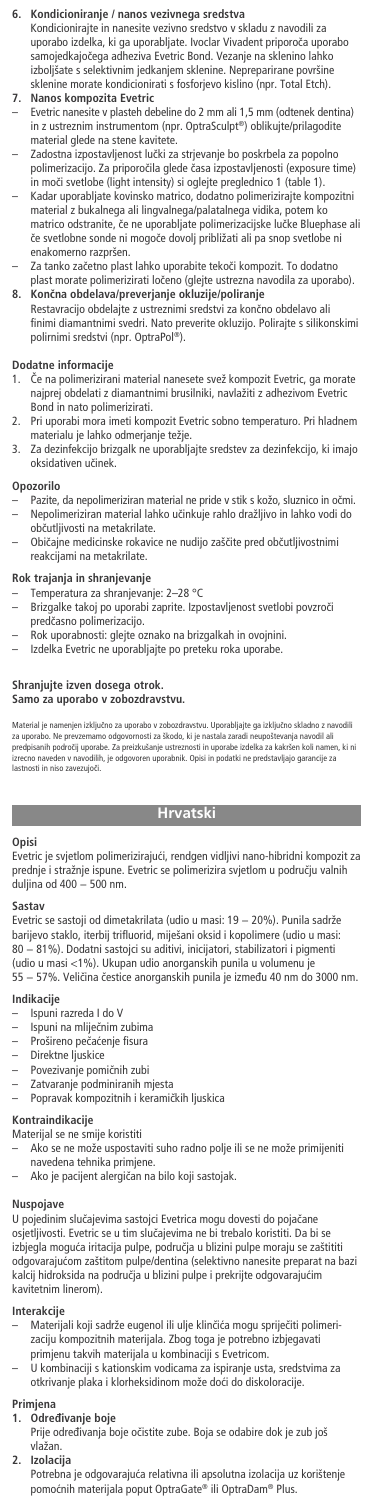## **6. Kondicioniranje / nanos vezivnega sredstva**

Kondicionirajte in nanesite vezivno sredstvo v skladu z navodili za uporabo izdelka, ki ga uporabljate. Ivoclar Vivadent priporoãa uporabo samojedkajoãega adheziva Evetric Bond. Vezanje na sklenino lahko izboljšate s selektivnim jedkanjem sklenine. Nepreparirane površine sklenine morate kondicionirati s fosforjevo kislino (npr. Total Etch). **7. Nanos kompozita Evetric**

- Evetric nanesite v plasteh debeline do 2 mm ali 1,5 mm (odtenek dentina) in z ustreznim instrumentom (npr. OptraSculpt ®) oblikujte/prilagodite material glede na stene kavitete.
- Zadostna izpostavljenost lučki za strjevanje bo poskrbela za popolno polimerizacijo. Za priporoãila glede ãasa izpostavljenosti (exposure time) in moãi svetlobe (light intensity) si oglejte preglednico 1 (table 1).
- Kadar uporabljate kovinsko matrico, dodatno polimerizirajte kompozitni material z bukalnega ali lingvalnega/palatalnega vidika, potem ko matrico odstranite, ãe ne uporabljate polimerizacijske luãke Bluephase ali ãe svetlobne sonde ni mogoãe dovolj približati ali pa snop svetlobe ni enakomerno razpršen.
- Za tanko zaãetno plast lahko uporabite tekoãi kompozit. To dodatno plast morate polimerizirati loãeno (glejte ustrezna navodila za uporabo). **8. Konãna obdelava/preverjanje okluzije/poliranje**
- Restavracijo obdelajte z ustreznimi sredstvi za končno obdelavo ali finimi diamantnimi svedri. Nato preverite okluzijo. Polirajte s silikonskimi polirnimi sredstvi (npr. OptraPol ®).

# **Dodatne informacije**

- Če na polimerizirani material nanesete svež kompozit Evetric, ga morate najprej obdelati z diamantnimi brusilniki, navlažiti z adhezivom Evetric Bond in nato polimerizirati.
- 2. Pri uporabi mora imeti kompozit Evetric sobno temperaturo. Pri hladnem materialu je lahko odmerjanje težje.
- 3. Za dezinfekcijo brizgalk ne uporabljajte sredstev za dezinfekcijo, ki imajo oksidativen uãinek.

#### **Opozorilo**

- Pazite, da nepolimeriziran material ne pride v stik s kožo, sluznico in očmi. – Nepolimeriziran material lahko uãinkuje rahlo dražljivo in lahko vodi do obãutljivosti na metakrilate.
- Običajne medicinske rokavice ne nudijo zaščite pred občutljivostnimi reakcijami na metakrilate.

### **Rok trajanja in shranjevanje**

- 
- Temperatura za shranjevanje: 2–28 °C Brizgalke takoj po uporabi zaprite. Izpostavljenost svetlobi povzroãi predãasno polimerizacijo.
- Rok uporabnosti: glejte oznako na brizgalkah in ovojnini. Izdelka Evetric ne uporabljajte po preteku roka uporabe.
- 

# **Shranjujte izven dosega otrok. Samo za uporabo v zobozdravstvu.**

Material je namenjen izključno za uporabo v zobozdravstvu. Uporabljajte ga izključno skladno z navodili<br>za uporabo. Ne prevzemamo odgovornosti za škodo, ki je nastala zaradi neupoštevanja navodil ali<br>predpisanih področij u izrecno naveden v navodilih, je odgovoren uporabnik. Opisi in podave izvelka za kakiseti koli italijen<br>Izrecno naveden v navodilih, je odgovoren uporabnik. Opisi in podatki ne predstavljajo garancije za<br>Iastnosti in niso z no naveaen<br>osti in niso z

## **Hrvatski**

## **Opisi**

Evetric je svjetlom polimerizirajuÊi, rendgen vidljivi nano-hibridni kompozit za prednje i stražnje ispune. Evetric se polimerizira svjetlom u podruËju valnih .<br>dulijna od 400

### **Sastav**

Evetric se sastoji od dimetakrilata (udio u masi: 19 − 20%). Punila sadrže barijevo staklo, iterbij trifluorid, miješani oksid i kopolimere (udio u masi: 80 − 81%). Dodatni sastojci su aditivi, inicijatori, stabilizatori i pigmenti (udio u masi <1%). Ukupan udio anorganskih punila u volumenu je 55 - 57%. Veličina čestice anorganskih punila je između 40 nm do 3000 nm

#### **Indikacije**

- Ispuni razreda I do V
- Ispuni na mliječnim zubima
- Prošireno pečaćenje fisura ‡ Direktne ljuskice
- 
- ‡ Povezivanje pomiËnih zubi
- Zatvaranje podminiranih mjesta
- ‡ Popravak kompozitnih i keramiËkih ljuskica

## **Kontraindikacije**

- Materijal se ne smije koristiti
- Ako se ne može uspostaviti suho radno polje ili se ne može primijeniti navedena tehnika primjene.
- ‡ Ako je pacijent alergiËan na bilo koji sastojak.

#### **Nuspojave**

U pojedinim sluËajevima sastojci Evetrica mogu dovesti do pojaËane osjetljivosti. Evetric se u tim slučajevima ne bi trebalo koristiti. Da bi se<br>izbjegla moguća iritacija pulpe, područja u blizini pulpe moraju se zaštititi odgovarajuÊom zaštitom pulpe/dentina (selektivno nanesite preparat na bazi kalcij hidroksida na područja u blizini pulpe i prekrijte odgovarajućim kavitetnim linerom).

## **Interakcije**

- Materijali koji sadrže eugenol ili ulje klinčića mogu spriječiti polimerizaciju kompozitnih materijala. Zbog toga je potrebno izbjegavati primjenu takvih materijala u kombinaciji s Evetricom.
- U kombinaciji s kationskim vodicama za ispiranje usta, sredstvima za otkrivanje plaka i klorheksidinom može doći do diskoloracije.

# **Primjena**

- **1. Odreivanje boje**
- Prije određivanja boje očistite zube. Boja se odabire dok je zub još vlažan.
- **2. Izolacija**

Potrebna je odgovarajuÊa relativna ili apsolutna izolacija uz korištenje pomoÊnih materijala poput OptraGate® ili OptraDam® Plus.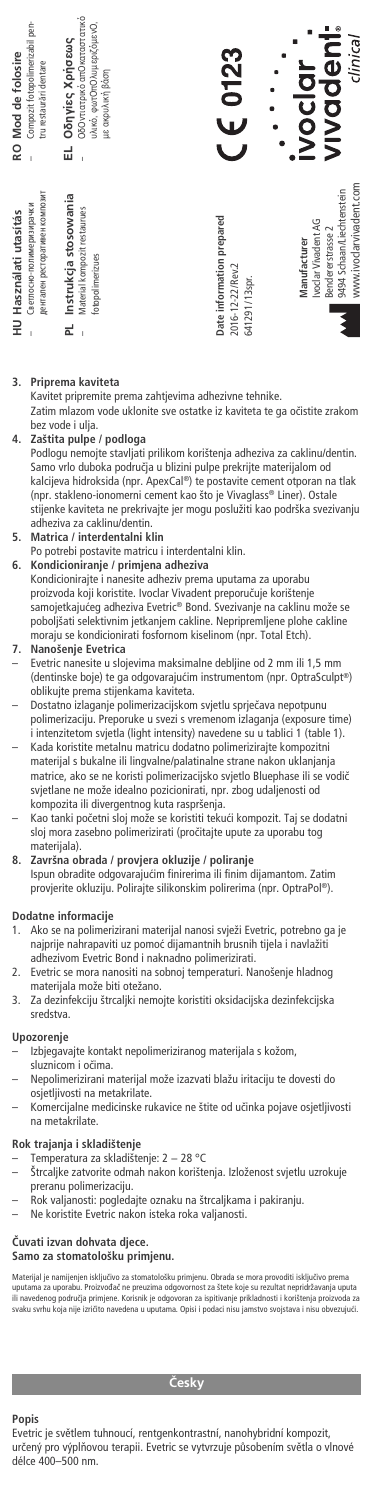| Compozit fotopolimerizabil pen-<br>RO Mod de folosire<br>tru restaurări dentare       | ОбОvтатріко апОкатаєтатіко<br>υλικό, φωτΟπΟλυ μεριζόμενΟ,<br>EL Oδηγίες Χρήσεως<br>με ακρυλική βάση<br>ï | $C \in 0123$                                                   | vivadent<br>clinical<br><b>IVOCOT</b>                                                                            |
|---------------------------------------------------------------------------------------|----------------------------------------------------------------------------------------------------------|----------------------------------------------------------------|------------------------------------------------------------------------------------------------------------------|
| дентален ресторативен композит<br>Светлосно-полимеризирачки<br>HU Használati utasítás | Instrukcja stosowania<br>Material kompozit restaurues<br>fotopolimerizues<br>군                           | Date information prepared<br>2016-12-22/Rev.2<br>641291/13spr. | www.ivoclarvivadent.com<br>9494 Schaan/Liechtenstein<br>Ivoclar Vivadent AG<br>Bendererstrasse 2<br>Manufacturer |

### **3. Priprema kaviteta**

Kavitet pripremite prema zahtjevima adhezivne tehnike. Zatim mlazom vode uklonite sve ostatke iz kaviteta te ga oËistite zrakom bez vode i ulja.

## **4. Zaštita pulpe / podloga**

Podlogu nemojte stavljati prilikom korištenja adheziva za caklinu/dentin. Samo vrlo duboka podruËja u blizini pulpe prekrijte materijalom od kalcijeva hidroksida (npr. ApexCal ®) te postavite cement otporan na tlak (npr. stakleno-ionomerni cement kao što je Vivaglass® Liner). Ostale stijenke kaviteta ne prekrivajte jer mogu poslužiti kao podrška svezivanju adheziva za caklinu/dentin. **5. Matrica / interdentalni klin**

# Po potrebi postavite matricu i interdentalni klin.

**6. Kondicioniranje / primjena adheziva** Kondicionirajte i nanesite adheziv prema uputama za uporabu proizvoda koji koristite. Ivoclar Vivadent preporučuje korištenje<br>samojetkajućeg adheziva Evetric® Bond. Svezivanje na caklinu može se<br>poboljšati selektivnim jetkanjem cakline. Nepripremljene plohe cakline moraju se kondicionirati fosfornom kiselinom (npr. Total Etch).

# **7. Nanošenje Evetrica**

.<br>Inesite u slojevima maksimalne debljine od 2 mm ili 1,5 mm (dentinske boje) te ga odgovarajućim instrumentom (npr. OptraSculpt®) oblikujte prema stijenkama kaviteta. – Dostatno izlaganje polimerizacijskom svjetlu sprjeËava nepotpunu

polimerizaciju. Preporuke u svezi s vremenom izlaganja (exposure time) i intenzitetom svjetla (light intensity) navedene su u tablici 1 (table 1). – Kada koristite metalnu matricu dodatno polimerizirajte kompozitni

materijal s bukalne ili lingvalne/palatinalne strane nakon uklanjanja matrice, ako se ne koristi polimerizacijsko svjetlo Bluephase ili se vodiË svjetlane ne može idealno pozicionirati, npr. zbog udaljenosti od kompozita ili divergentnog kuta raspršenja.

Kao tanki početni sloj može se koristiti tekući kompozit. Taj se dodatni sloj mora zasebno polimerizirati (proËitajte upute za uporabu tog materijala).

**8. Završna obrada / provjera okluzije / poliranje** Ispun obradite odgovarajućim finirerima ili finim dijamantom. Zatim provjerite okluziju. Polirajte silikonskim polirerima (npr. OptraPol ®).

# **Dodatne informacije**

- Ako se na polimerizirani materijal nanosi svježi Evetric, potrebno ga je najprije nahrapaviti uz pomoć dijamantnih brusnih tijela i navlažiti adhezivom Evetric Bond i naknadno polimerizirati.
- 2. Evetric se mora nanositi na sobnoj temperaturi. Nanošenje hladnog materijala može biti otežano.
- 3. Za dezinfekciju štrcaljki nemojte koristiti oksidacijska dezinfekcijska sredstva.

#### **Upozorenje**

- Izbjegavajte kontakt nepolimeriziranog materijala s kožom, sluznicom i oËima.
- ‡ Nepolimerizirani materijal može izazvati blažu iritaciju te dovesti do osjetljivosti na metakrilate.
- ‡ Komercijalne medicinske rukavice ne štite od uËinka pojave osjetljivosti na metakrilate.

### **Rok trajanja i skladištenje**

- ‡ Temperatura za skladištenje: 2 − 28 °C
- ‡ Štrcaljke zatvorite odmah nakon korištenja. Izloženost svjetlu uzrokuje preranu polimerizaciju.
- ‡ Rok valjanosti: pogledajte oznaku na štrcaljkama i pakiranju.
- Ne koristite Evetric nakon isteka roka valjanosti.

### **»uvati izvan dohvata djece. Samo za stomatološku primjenu.**

Materijal je namijenjen isključivo za stomatološku primjenu. Obrada se mora provoditi isključivo prema<br>uputama za uporabu. Proizvođač ne preuzima odgovornost za štete koje su rezultat nepridržavanja uputa<br>ili navedenog pod

## *åesky*

### **Popis**

Evetric je světlem tuhnoucí, rentgenkontrastní, nanohybridní kompozit, určený pro výplňovou terapii. Evetric se vytvrzuje působením světla o vlnové délce 400–500 nm.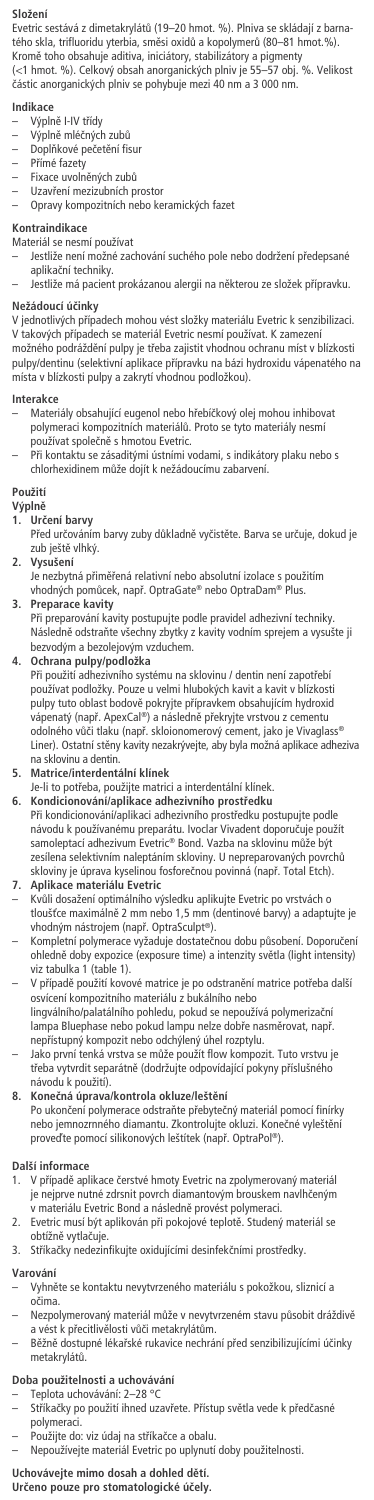## **Složení**

Evetric sestává z dimetakrylátů (19–20 hmot. %). Plniva se skládají z barnatého skla, trifluoridu yterbia, směsi oxidů a kopolymerů (80–81 hmot.%).<br>Kromě toho obsahuje aditiva, iniciátory, stabilizátory a pigmenty<br>(<1 hmot. %). Celkový obsah anorganických plniv je 55–57 obj. %. Velikost ãástic anorganick˘ch plniv se pohybuje mezi 40 nm a 3 000 nm.

- **Indikace**<br>— Výplně I-IV třídy
- V˘plnû mléãn˘ch zubÛ
- Doplňkové pečetění fisur
- Pfiímé fazety
- Fixace uvolněných zubů
- Uzavření mezizubních prostor<br>– Opravy kompozitních nebo keramických fazet

## **Kontraindikace**

- Materiál se nesmí používat
- Jestliže není možné zachování suchého pole nebo dodržení předepsané aplikační techniky.
- Jestliže má pacient prokázanou alergii na nûkterou ze složek pfiípravku.

## **Nežádoucí úãinky**

V jednotlivých případech mohou vést složky materiálu Evetric k senzibilizaci.<br>V takových případech se materiál Evetric nesmí používat. K zamezení možného podráždění pulpy je třeba zajistit vhodnou ochranu míst v blízkosti pulpy/dentinu (selektivní aplikace pfiípravku na bázi hydroxidu vápenatého na místa v blízkosti pulpy a zakrytí vhodnou podložkou).

### **Interakce**

- Materiály obsahující eugenol nebo hřebíčkový olej mohou inhibovat<br>polymeraci kompozitních materiálů. Proto se tyto materiály nesmí<br>používat společně s hmotou Evetric.
- Pfii kontaktu se zásadit˘mi ústními vodami, s indikátory plaku nebo s chlorhexidinem mÛže dojít k nežádoucímu zabarvení.

## **Použití**

- **V˘plnû**
- **1. Urãení barvy**
	- Před určováním barvy zuby důkladně vyčistěte. Barva se určuje, dokud je zub ještě vlhký.
- **2. Vysušení**
- Je nezbytná přiměřená relativní nebo absolutní izolace s použitím<br>vhodných pomůcek, např. OptraGate® nebo OptraDam® Plus. **3. Preparace kavity**
- Při preparování kavity postupujte podle pravidel adhezivní techniky.<br>Následně odstraňte všechny zbytky z kavity vodním sprejem a vysušte ji bezvodým a bezolejovým vzduchem.
- 

**4. Ochrana pulpy/podložka** Pfii použití adhezivního systému na sklovinu / dentin není zapotfiebí používat podložky. Pouze u velmi hlubok˘ch kavit a kavit v blízkosti pulpy tuto oblast bodově pokryjte přípravkem obsahujícím hydroxid<br>vápenatý (např. ApexCal®) a následně překryjte vrstvou z cementu odolného vůči tlaku (např. skloionomerový cement, jako je Vivaglass® Liner). Ostatní stěny kavity nezakrývejte, aby byla možná aplikace adheziva na sklovinu a dentir.

## **5. Matrice/interdentální klínek**

- Je-li to potfieba, použijte matrici a interdentální klínek. **6. Kondicionování/aplikace adhezivního prostfiedku**
- Při kondicionování/aplikaci adhezivního prostředku postupujte podle návodu k používanému preparátu. Ivoclar Vivadent doporučuje použít<br>samoleptací adhezivum Evetric® Bond. Vazba na sklovinu může být zesílena selektivním naleptáním skloviny. U nepreparovaných povrchů skloviny je úprava kyselinou fosforeãnou povinná (napfi. Total Etch). **7. Aplikace materiálu Evetric**
- KvÛli dosažení optimálního v˘sledku aplikujte Evetric po vrstvách o tloušťce maximálně 2 mm nebo 1,5 mm (dentinové barvy) a adaptujte je<br>vhodným nástrojem (např. OptraSculpt®).
- Kompletní polymerace vyžaduje dostatečnou dobu působení. Doporučení ohledně doby expozice (exposure time) a intenzity světla (light intensity)<br>viz tabulka 1 (table 1).
- V případě použití kovové matrice je po odstranění matrice potřeba další osvícení kompozitního materiálu z bukálního nebo lingválního/palatálního pohledu, pokud se nepoužívá polymerizaãní
- lampa Bluephase nebo pokud lampu nelze dobře nasměrovat, např. nepřístupný kompozit nebo odchýlený úhel rozptylu.<br>– Jako první tenká vrstva se může použít flow kompozit. Tuto vrstvu je
- třeba vytvrdit separátně (dodržujte odpovídající pokyny příslušného návodu k použití). **8. Koneãná úprava/kontrola okluze/leštûní**
- Po ukončení polymerace odstraňte přebytečný materiál pomocí finírky nebo jemnozrnného diamantu. Zkontrolujte okluzi. Konečné vyleštění<br>proveďte pomocí silikonových leštítek (např. OptraPol®).

# **Další informace**

- v minimicie<br>V případě aplikace čerstvé hmoty Evetric na zpolymerovaný materiál je nejprve nutné zdrsnit povrch diamantovým brouskem navlhčeným
- v materiálu Evetric Bond a následně provést polymeraci.<br>2. Evetric musí být aplikován při pokojové teplotě. Studený materiál se obtížně vytlačuje.
- 3. Stříkačky nedezinfikujte oxidujícími desinfekčními prostředky.

### **Varování**

- Vyhnûte se kontaktu nevytvrzeného materiálu s pokožkou, sliznicí a oãima.
- Nezpolymerovaný materiál může v nevytvrzeném stavu působit dráždivě<br>a vést k přecitlivělosti vůči metakrylátům.
- Běžně dostupné lékařské rukavice nechrání před senzibilizujícími účinky metakrylátÛ.

### **Doba použitelnosti a uchovávání**

- Teplota uchovávání: 2–28 °C
- Stříkačky po použití ihned uzavřete. Přístup světla vede k předčasné polymeraci. – Použijte do: viz údaj na stfiíkaãce a obalu.
- Nepoužívejte materiál Evetric po uplynutí doby použitelnosti.
- 

## **Uchovávejte mimo dosah a dohled dûtí. Urãeno pouze pro stomatologické úãely.**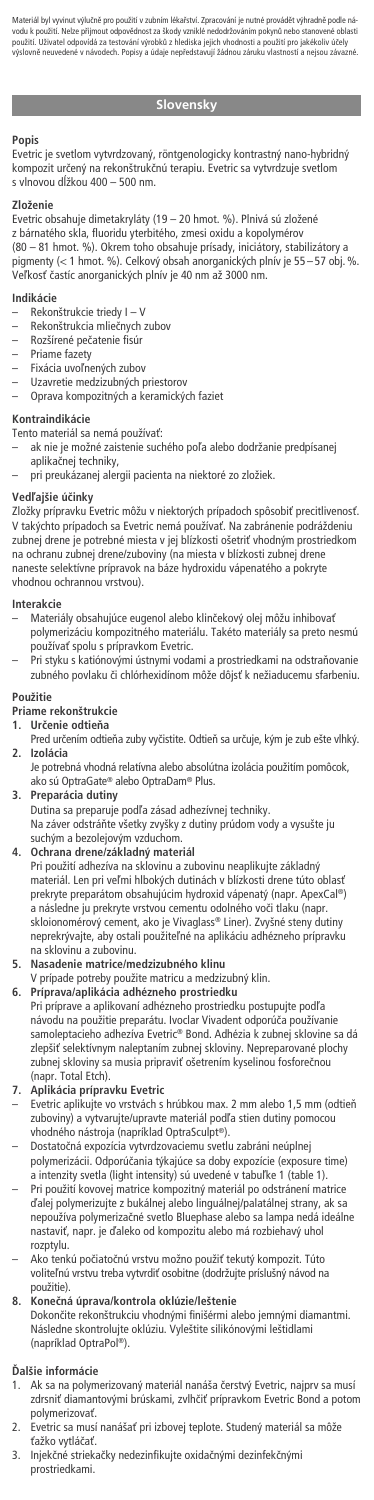Materiál byl vyvinut výlučné pro použití v zubním lékařství. Zpracování je nutné provádět výhradné podle ná-<br>vodu k použití. Nelze příjmout odpovědnost za škody vzniklé nedodržováním pokynů nebo stanovené oblasti<br>použití. za sestovalu vyropsa z mearska jejicit vliouhostí a<br>odech. Popisy a údaje nepředstavují žádnou záru

## **Slovensky**

## **Popis**

Evetric je svetlom vytvrdzovaný, röntgenologicky kontrastný nano-hybridný kompozit určený na rekonštrukčnú terapiu. Evetric sa vytvrdzuje svetlom<br>s vlnovou dĺžkou 400 – 500 nm.

## **Zloženie**

Evetric obsahuje dimetakryláty (19 – 20 hmot. %). Plnivá sú zložené z bárnatého skla, fluoridu yterbitého, zmesi oxidu a kopolymérov<br>(80 – 81 hmot. %). Okrem toho obsahuje prísady, iniciátory, stabilizátory a<br>pigmenty (< 1 hmot. %). Celkový obsah anorganických plnív je 55—57 obj. %. Veľkosť častíc anorganických plnív je 40 nm až 3000 nm.

### **Indikácie**

- Rekonštrukcie triedy I V
- Rekonštrukcia mlieãnych zubov
- Rozšírené pečatenie fisú
- Priame fazety
- Fixácia uvoľnených zubov
- Uzavretie medzizubn˘ch priestorov Oprava kompozitn˘ch a keramick˘ch faziet

#### **Kontraindikácie**

- Tento materiál sa nemá používať:
- ak nie je možné zaistenie suchého poľa alebo dodržanie predpísanej aplikaãnej techniky,
- pri preukázanej alergii pacienta na niektoré zo zložiek.

## **Vedºajšie úãinky**

Zložky prípravku Evetric môžu v niektorých prípadoch spôsobiť precitlivenosť.<br>V takýchto prípadoch sa Evetric nemá používať. Na zabránenie podráždeniu zubnej drene je potrebné miesta v jej blízkosti ošetriť vhodným prostriedkom na ochranu zubnej drene/zuboviny (na miesta v blízkosti zubnej drene naneste selektívne prípravok na báze hydroxidu vápenatého a pokryte vhodnou ochrannou vrstvou).

## **Interakcie**

- Materiály obsahujúce eugenol alebo klinãekov˘ olej môžu inhibovaÈ polymerizáciu kompozitného materiálu. Takéto materiály sa preto nesmú používať spolu s prípravkom Evetric.
- Pri styku s katiónov˘mi ústnymi vodami a prostriedkami na odstraÀovanie zubného povlaku ãi chlórhexidínom môže dôjsÈ k nežiaducemu sfarbeniu.

## **Použitie**

- **Priame rekonštrukcie**
- **1. Urãenie odtieÀa**
- Pred určením odtieňa zuby vyčistite. Odtieň sa určuje, kým je zub ešte vlhký. **2. Izolácia**
- Je potrebná vhodná relatívna alebo absolútna izolácia použitím pomôcok, ako sú OptraGate® alebo OptraDam® Plus.
- **3. Preparácia dutiny**

Dutina sa preparuje podľa zásad adhezívnej techniky. Na záver odstráÀte všetky zvyšky z dutiny prúdom vody a vysušte ju suchým a bezolejovým vzduchom.

**4. Ochrana drene/základn˘ materiál** Pri použití adhezíva na sklovinu a zubovinu neaplikujte základn˘ materiál. Len pri veľmi hlbokých dutinách v blízkosti drene túto oblasť prekryte preparátom obsahujúcim hydroxid vápenatý (napr. ApexCal®)<br>a následne ju prekryte vrstvou cementu odolného voči tlaku (napr.<br>skloionomérový cement, ako je Vivaglass® Liner). Zvyšné steny dutiny neprekrývajte, aby ostali použiteľné na aplikáciu adhézneho prípravku na sklovinu a zubovinu.

### **5. Nasadenie matrice/medzizubného klinu**

- 
- V prípade potreby použite matricu a medzizubný klin.<br>**6. Príprava/aplikácia adhézneho prostriedku**<br>Pri príprave a aplikovaní adhézneho prostriedku postupujte podľa návodu na použitie preparátu. Ivoclar Vivadent odporúãa používanie samoleptacieho adhezíva Evetric® Bond. Adhézia k zubnej sklovine sa dá zlepšiť selektívnym naleptaním zubnej skloviny. Nepreparované plochy zubnej skloviny sa musia pripraviť ošetrením kyselinou fosforečnou<br>(napr. Total Etch).

## **7. Aplikácia prípravku Evetric**

- Evetric aplikujte vo vrstvách s hrúbkou max. 2 mm alebo 1,5 mm (odtieÀ zuboviny) a vytvarujte/upravte materiál podľa stien dutiny pomocou vhodného nástroja (napríklad OptraSculpt ®).
- Dostatočná expozícia vytvrdzovaciemu svetlu zabráni neúplnej<br>polymerizácii. Odporúčania týkajúce sa doby expozície (exposure time) a intenzity svetla (light intensity) sú uvedené v tabuľke 1 (table 1).
- Pri použití kovovej matrice kompozitn˘ materiál po odstránení matrice ìalej polymerizujte z bukálnej alebo linguálnej/palatálnej strany, ak sa nepoužíva polymerizaãné svetlo Bluephase alebo sa lampa nedá ideálne nastaviť, napr. je ďaleko od kompozitu alebo má rozbiehavý uhol rozptylu.
- Ako tenkú počiatočnú vrstvu možno použiť tekutý kompozit. Túto voliteľnú vrstvu treba vytvrdiť osobitne (dodržujte príslušný návod na použitie).
- **8. Koneãná úprava/kontrola oklúzie/leštenie** Dokončite rekonštrukciu vhodnými finišérmi alebo jemnými diamantmi. Následne skontrolujte oklúziu. Vyleštite silikónovými leštidlami (napríklad OptraPol ®).

## **ëalšie informácie**

- 1. Ak sa na polymerizovaný materiál nanáša čerstvý Evetric, najprv sa musí zdrsniť diamantovými brúskami, zvlhčiť prípravkom Evetric Bond a potom polymerizovať
- 2. Evetric sa musí nanášať pri izbovej teplote. Studený materiál sa môže
- ťažko vytláčať.<br>3. Injekčné striekačky nedezinfikujte oxidačnými dezinfekčnými prostriedkami.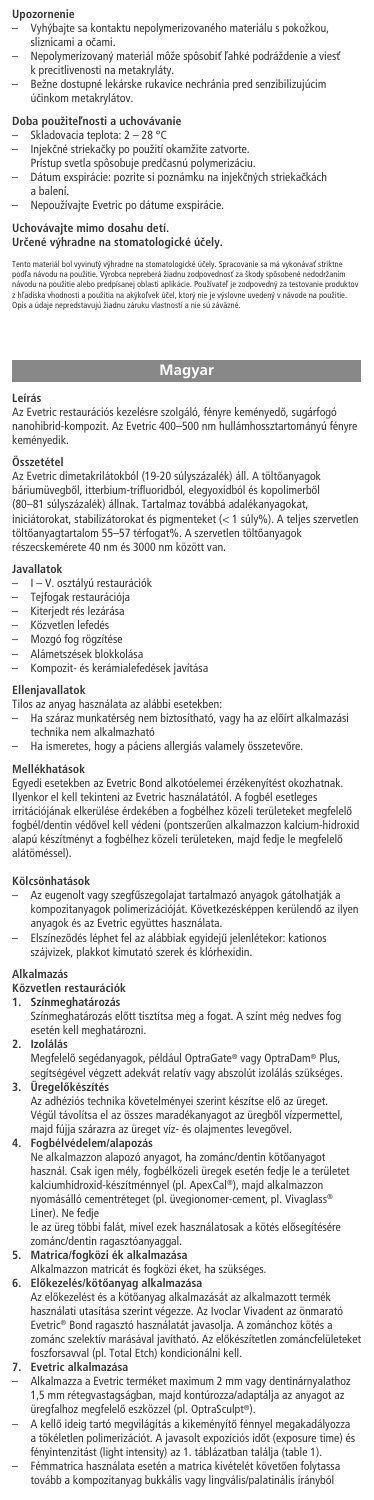## **Upozornenie**

- Vyh˘bajte sa kontaktu nepolymerizovaného materiálu s pokožkou, sliznicami a oãami.
- Nepolymerizovan˘ materiál môže spôsobiÈ ºahké podráždenie a viesÈ k precitlivenosti na metakryláty.
- Bežne dostupné lekárske rukavice nechránia pred senzibilizujúcim úãinkom metakrylátov.

## **Doba použiteºnosti a uchovávanie**

- Skladovacia teplota: 2 28 °C
- Injekãné striekaãky po použití okamžite zatvorte.
	- Prístup svetla spôsobuje predãasnú polymerizáciu.
	- Dátum exspirácie: pozrite si poznámku na injekčných striekačkách a balení.
- Nepoužívajte Evetric po dátume exspirácie.

## **Uchovávajte mimo dosahu detí.**

## **Urãené v˘hradne na stomatologické úãely.**

Tento materiál bol vyvinutý výhradne na stomatologické účely. Spracovanie sa má vykonávať striktne<br>podľa návodu na použitie. Výrobca nepreberá žiadnu zodpovednosť za škody spěsobené nedodržaním<br>zháodu na použitie alebo pre

## **Magyar**

#### **Leírás**

Az Evetric restaurációs kezelésre szolgáló, fényre keményedő, sugárfogó<br>nanohibrid-kompozit. Az Evetric 400–500 nm hullámhossztartományú fényre keményedik.

## **Összetétel**

Az Evetric dimetakrilátokból (19-20 súlyszázalék) áll. A töltőanyagok báriumüvegből, itterbium-trifluoridból, elegyoxidból és kopolimerből<br>(80–81 súlyszázalék) állnak. Tartalmaz továbbá adalékanyagokat, iniciátorokat, stabilizátorokat és pigmenteket (< 1 súly%). A teljes szervetlen töltőanyagtartalom 55–57 térfogat%. A szervetlen töltőanyagok<br>részecskemérete 40 nm és 3000 nm között van.

#### **Javallatok**

- I V. osztályú restaurációk
- Tejfogak restaurációja Kiterjedt rés lezárása
- 
- Közvetlen lefedés
- Mozgó fog rögzítése Alámetszések blokkolása
- Kompozit- és kerámialefedések javítása
- 

## **Ellenjavallatok**

Tilos az anyag használata az alábbi esetekben:

- Ha száraz munkatérség nem biztosítható, vagy ha az előírt alkalmazási technika nem alkalmazható
	- Ha ismeretes, hogy a páciens allergiás valamely összetevőre.

### **Mellékhatások**

Egyedi esetekben az Evetric Bond alkotóelemei érzékenyítést okozhatnak. Ilyenkor el kell tekinteni az Evetric használatától. A fogbél esetleges irritációjának elkerülése érdekében a fogbélhez közeli területeket megfelelő<br>fogbél/dentin védővel kell védeni (pontszerűen alkalmazzon kalcium-hidroxid alapú készítményt a fogbélhez közeli területeken, majd fedje le megfelelő alátöméssel).

#### **Kölcsönhatások**

- Az eugenolt vagy szegfűszegolajat tartalmazó anyagok gátolhatják a<br>kompozitanyagok polimerizációját. Következésképpen kerülendő az ilyen anyagok és az Evetric együttes használata.
- ElszínezŒdés léphet fel az alábbiak egyidejı jelenlétekor: kationos szájvizek, plakkot kimutató szerek és klórhexidin.

## **Alkalmazás**

**Közvetlen restaurációk**

- **1. Színmeghatározás**
	- Színmeghatározás előtt tisztítsa meg a fogat. A színt még nedves fog esetén kell meghatározni.
- **2. Izolálás**
	- Megfelelő segédanyagok, például OptraGate® vagy OptraDam® Plus, segítségével végzett adekvát relatív vagy abszolút izolálás szükséges.
- **3. Uregelőkészítés**<br>Az adhéziós technika követelményei szerint készítse elő az üreget. Végül távolítsa el az összes maradékanyagot az üregből vízpermettel, majd fújja szárazra az üreget víz- és olajmentes levegővel. **4. Fogbélvédelem/alapozás**

Ne alkalmazzon alapozó anyagot, ha zománc/dentin kötőanyagot használ. Csak igen mély, fogbélközeli üregek esetén fedje le a területet kalciumhidroxid-készítménnyel (pl. ApexCal ®), majd alkalmazzon nyomásálló cementréteget (pl. üvegionomer-cement, pl. Vivaglass® Liner). Ne fedje

le az üreg többi falát, mivel ezek használatosak a kötés elŒsegítésére zománc/dentin ragasztóanyaggal.

- **5. Matrica/fogközi ék alkalmazása**
- Alkalmazzon matricát és fogközi éket, ha szükséges.
- **6. ElŒkezelés/kötŒanyag alkalmazása** Az előkezelést és a kötőanyag alkalmazását az alkalmazott termék<br>használati utasítása szerint végezze. Az Ivoclar Vivadent az önmarató Evetric® Bond ragasztó használatát javasolja. A zománchoz kötés a zománc szelektív marásával javítható. Az előkészítetlen zománcfelületeket foszforsavval (pl. Total Etch) kondicionálni kell.

#### **7. Evetric alkalmazása**

- Alkalmazza a Evetric terméket maximum 2 mm vagy dentinárnyalathoz 1,5 mm rétegvastagságban, majd kontúrozza/adaptálja az anyagot az üregfalhoz megfelelő eszközzel (pl. OptraSculpt®).
- A kellő ideig tartó megvilágítás a kikeményítő fénnyel megakadályozza<br>a tökéletlen polimerizációt. A javasolt expozíciós időt (exposure time) és<br>fényintenzitást (light intensity) az 1. táblázatban találja (table 1). Fémmatrica használata esetén a matrica kivételét követően folytassa tovább a kompozitanyag bukkális vagy lingvális/palatinális irányból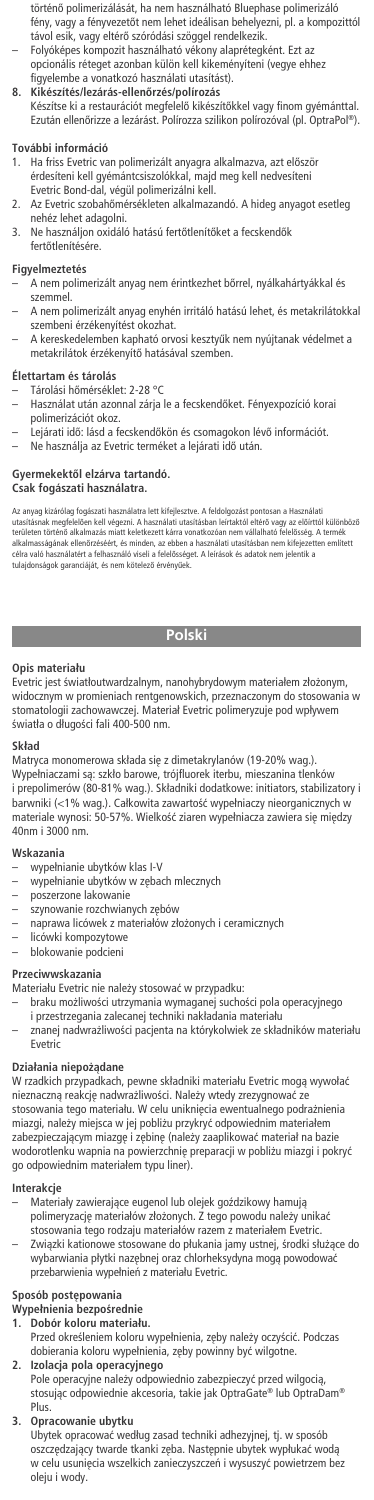- történő polimerizálását, ha nem használható Bluephase polimerizáló fény, vagy a fényvezetőt nem lehet ideálisan behelyezni, pl. a kompozittól
- távol esik, vagy eltérő szóródási szöggel rendelkezik.<br>– Folyóképes kompozit használható vékony alaprétegként. Ezt az opcionális réteget azonban külön kell kikeményíteni (vegye ehhez
- 
- figyelembe a vonatkozó használati utasítást). **8. Kikészítés/lezárás-ellenŒrzés/polírozás** Készítse ki a restaurációt megfelelŒ kikészítŒkkel vagy finom gyémánttal. Ezután ellenőrizze a lezárást. Polírozza szilikon polírozóval (pl. OptraPol®).

## **További információ**

- 1. Ha friss Evetric van polimerizált anyagra alkalmazva, azt először érdesíteni kell gyémántcsiszolókkal, majd meg kell nedvesíteni Evetric Bond-dal, végül polimerizálni kell.
- 2. Az Evetric szobahőmérsékleten alkalmazandó. A hideg anyagot esetleg nehéz lehet adagolni.
- 3. Ne használjon oxidáló hatású fertőtlenítőket a fecskendők
- fertőtlenítésére

## **Figyelmeztetés**

- A nem polimerizált anyag nem érintkezhet bőrrel, nyálkahártyákkal és szemmel.
- A nem polimerizált anyag enyhén irritáló hatású lehet, és metakrilátokkal szembeni érzékenyítést okozhat.
- A kereskedelemben kapható orvosi kesztyűk nem nyújtanak védelmet a metakrilátok érzékenyítő hatásával szemben.

## **Élettartam és tárolás**

- Tárolási hőmérséklet: 2-28 °C
- Használat után azonnal zárja le a fecskendŒket. Fényexpozíció korai polimerizációt okoz.
- Lejárati idő: lásd a fecskendőkön és csomagokon lévő információt.<br>– Ne használja az Evetric terméket a lejárati idő után.

# **GyermekektŒl elzárva tartandó. Csak fogászati használatra.**

Az anyag kizárólag fogászati használatra lett kifeljesztve. A felológozást pontosan a Használati<br>utasításnak megfelelően kell végezni. A használati utasításban leirtaktól eltérő vagy az előirtiól különbözö<br>területen törtér

## **Polski**

## **Opis materiału**

Evetric jest światłoutwardzalnym, nanohybrydowym materiałem złożonym,<br>widocznym w promieniach rentgenowskich, przeznaczonym do stosowania w stomatologii zachowawczej. Materiał Evetric polimeryzuje pod wpływem światła o długości fali 400-500 nm.

## **Skład**

Matryca monomerowa składa się z dimetakrylanów (19-20% wag.). Wypełniaczami są: szkło barowe, trójfluorek iterbu, mieszanina tlenków i prepolimerów (80-81% wag.). Składniki dodatkowe: initiators, stabilizatory i<br>barwniki (<1% wag.). Całkowita zawartość wypełniaczy nieorganicznych w<br>materiale wynosi: 50-57%. Wielkość ziaren wypełniacza zawiera się między 40nm i 3000 nm.

## **Wskazania**

- wypełnianie ubytków klas I-V
- wypełnianie ubytków w zębach mlecznych
- poszerzone lakowanie
- szynowanie rozchwianych zębów
- naprawa licówek z materiałów zło˝onych i ceramicznych
- licówki kompozytowe blokowanie podcieni
- 

## **Przeciwwskazania**

- Materiału Evetric nie należy stosować w przypadku:
- braku mo˝liwoÊci utrzymania wymaganej suchoÊci pola operacyjnego i przestrzegania zalecanej techniki nakładania materiału
- znanej nadwrażliwości pacjenta na którykolwiek ze składników materiału Evetric

## **Działania niepo˝àdane**

W rzadkich przypadkach, pewne składniki materiału Evetric mogà wywołaç nieznaczną reakcję nadwrażliwości. Należy wtedy zrezygnować ze stosowania tego materiału. W celu uniknięcia ewentualnego podrażnienia miazgi, należy miejsca w jej pobliżu przykryć odpowiednim materiałem zabezpieczającym miazgę i zębinę (należy zaaplikować materiał na bazie wodorotlenku wapnia na powierzchnię preparacji w pobliżu miazgi i pokryć<br>go odpowiednim materiałem typu liner).

## **Interakcje**

- Materiały zawierające eugenol lub olejek goździkowy hamują polimeryzację materiałów złożonych. Z tego powodu należy unikać<br>stosowania tego rodzaju materiałów razem z materiałem Evetric.
	- Związki kationowe stosowane do płukania jamy ustnej, środki służące do wybarwiania płytki nazębnej oraz chlorheksydyna mogą powodować przebarwienia wypełnień z materiału Evetric

## Sposób postępowania

- Wypełnienia bezpośrednie<br>1. Dobór koloru materiał
- **1. Dobór koloru materiału.**
- Przed określeniem koloru wypełnienia, zęby należy oczyścić. Podczas dobierania koloru wypełnienia, zęby powinny być wilgotne.

**2. Izolacja pola operacyjnego** Pole operacyjne nale˝y odpowiednio zabezpieczyç przed wilgocià, stosujàc odpowiednie akcesoria, takie jak OptraGate® lub OptraDam® Plus.

## **3. Opracowanie ubytku**

Ubytek opracowaç według zasad techniki adhezyjnej, tj. w sposób oszczędzający twarde tkanki zęba. Następnie ubytek wypłukać wodą w celu usunięcia wszelkich zanieczyszczeń i wysuszyć powietrzem bez oleju i wody.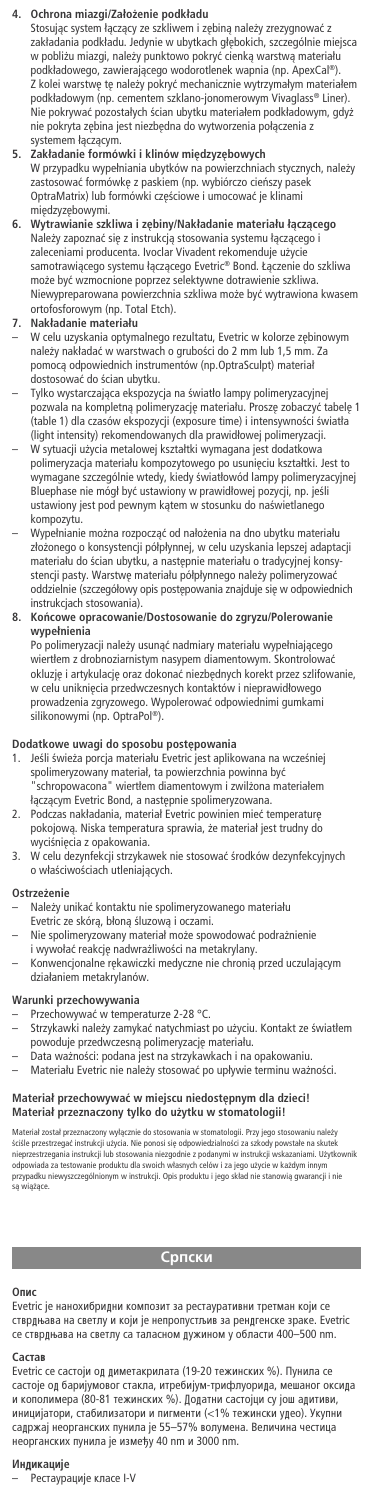## **4. Ochrona miazgi/Zało˝enie podkładu**

Stosując system łączący ze szkliwem i zębiną należy zrezygnować z zakładania podkładu. Jedynie w ubytkach głębokich, szczególnie miejsca<br>w pobliżu miazgi, należy punktowo pokryć cienką warstwą materiału podkładowego, zawierającego wodorotlenek wapnia (np. ApexCal®). Z kolei warstwę tę należy pokryć mechanicznie wytrzymałym materiałem<br>podkładowym (np. cementem szklano-jonomerowym Vivaglass® Liner). Nie pokrywać pozostałych ścian ubytku materiałem podkładowym, gdyż nie pokryta zębina jest niezbędna do wytworzenia połączenia z systemem łączącym.

## **5. Zakładanie formówki i klinów mi´dzyz´bowych**

W przypadku wypełniania ubytków na powierzchniach stycznych, należy<br>zastosować formówkę z paskiem (np. wybiórczo cieńszy pasek<br>OptraMatrix) lub formówki częściowe i umocować je klinami

mi´dzyz´bowymi. **6. Wytrawianie szkliwa i z´biny/Nakładanie materiału łàczàcego** Należy zapoznać się z instrukcją stosowania systemu łączącego i<br>zaleceniami producenta. Ivoclar Vivadent rekomenduje użycie<br>samotrawiącego systemu łączącego Evetric® Bond. Łączenie do szkliwa może być wzmocnione poprzez selektywne dotrawienie szkliwa. Niewypreparowana powierzchnia szkliwa może być wytrawiona kwasem<br>ortofosforowym (np. Total Etch).

### **7. Nakładanie materiału**

- W celu uzyskania optymalnego rezultatu, Evetric w kolorze zębinowym<br>należy nakładać w warstwach o grubości do 2 mm lub 1,5 mm. Za pomocà odpowiednich instrumentów (np.OptraSculpt) materiał dostosować do ścian ubytku.
- Tylko wystarczająca ekspozycja na światło lampy polimeryzacyjnej pozwala na kompletną polimeryzację materiału. Proszę zobaczyć tabelę 1 (table 1) dla czasów ekspozycji (exposure time) i intensywności światła<br>(light intensity) rekomendowanych dla prawidłowej polimeryzacji.
- W sytuacji użycia metalowej kształtki wymagana jest dodatkowa polimeryzacja materiału kompozytowego po usunięciu kształtki. Jest to<br>wymagane szczególnie wtedy, kiedy światłowód lampy polimeryzacyjnej<br>Bluephase nie mógł być ustawiony w prawidłowej pozycji, np. jeśli<br>ustawiony jest pod kompozytu.
- Wypełnianie można rozpocząć od nałożenia na dno ubytku materiału złożonego o konsystencji półpłynnej, w celu uzyskania lepszej adaptacji<br>materiału do ścian ubytku, a następnie materiału o tradycyjnej konsystencji pasty. Warstwę materiału półpłynnego należy polimeryzować oddzielnie (szczegółowy opis postępowania znajduje się w odpowiednich<br>instrukcjach stosowania).

## **8. Koƒcowe opracowanie/Dostosowanie do zgryzu/Polerowanie wypełnienia**

Po polimeryzacji należy usunąć nadmiary materiału wypełniającego wiertłem z drobnoziarnistym nasypem diamentowym. Skontrolowaç okluzję i artykulację oraz dokonać niezbędnych korekt przez szlifowanie,<br>w celu uniknięcia przedwczesnych kontaktów i nieprawidłowego<br>prowadzenia zgryzowego. Wypolerować odpowiednimi gumkami silikonowymi (np. OptraPol ®).

## **Dodatkowe uwagi do sposobu post´powania**

- 1. Jeśli świeża porcja materiału Evetric jest aplikowana na wcześniej spolimeryzowany materiał, ta powierzchnia powinna byç "schropowacona" wiertłem diamentowym i zwil˝ona materiałem łączącym Evetric Bond, a następnie spolimeryzowana.
- 2. Podczas nakładania, materiał Evetric powinien mieć temperaturę pokojową. Niska temperatura sprawia, że materiał jest trudny do
- wyciśnięcia z opakowania.<br>3. W celu dezynfekcji strzykawek nie stosować środków dezynfekcyjnych o właściwościach utleniających.

### **Ostrze˝enie**

- Należy unikać kontaktu nie spolimeryzowanego materiału<br>Evetric ze skórą, błoną śluzową i oczami.
- Nie spolimeryzowany materiał mo˝e spowodowaç podra˝nienie i wywołać reakcję nadwrażliwości na metakrylany.<br>Konwencionalne rekawiczki medyczne nie chronia
- wencjonalne rękawiczki medyczne nie chronią przed uczulającym działaniem metakrylanów.

#### **Warunki przechowywania**

- 
- − Przechowywać w temperaturze 2-28 °C.<br>− Strzykawki należy zamykać natychmiast po użyciu. Kontakt ze światłem powoduje przedwczesną polimeryzację materiału.
- 
- Data ważności: podana jest na strzykawkach i na opakowaniu.<br>– Materiału Evetric nie należy stosować po upływie terminu ważności.

# **Materiał przechowywaç w miejscu niedost´pnym dla dzieci! Materiał przeznaczony tylko do u˝ytku w stomatologii!**

Materiał został przeznaczony wyłącznie do stosowania w stomatologii. Przy jego stosowaniu należy<br>kściłe przestrzegać instrukcji użycia. Nie ponosi się odpowiedzialności za szkody powstałe na skutek<br>nieprzestrzegania instru sa wiążące.

## **<u>Српски</u>**

#### **Опис**

Evetric је нанохибридни композит за рестауративни третман који се ОСОБОР ВЕЛИТИНЕ В ДОЙ ДА ВИЛИТИНЕ В ДОЛЖНИНЕ В ДОЛЖНИНЕ В ДОЛЖНИНЕ В СТВРДНАВА НА СВЕТГІС се стврдњава на светлу са таласном дужином у области 400-500 nm.

#### $C$ <sub>a</sub> $CT$ a<sub>E</sub>

Evetric се састоји од диметакрилата (19-20 тежинских %). Пунила се Състоје од баријумовог стакла, итребијум-трифлуорида, мешаног оксида и кополимера (80-81 тежинских %). Додатни састојци су још адитиви,<br>иницијатори, стабилизатори и пигменти (<1% тежински удео). Укупни<br>садржај неорганских пунила је 55—57% волумена. Величина честица неорганских пунила је између 40 nm и 3000 nm.

**Индикације**<br>— Рестаурације класе I-V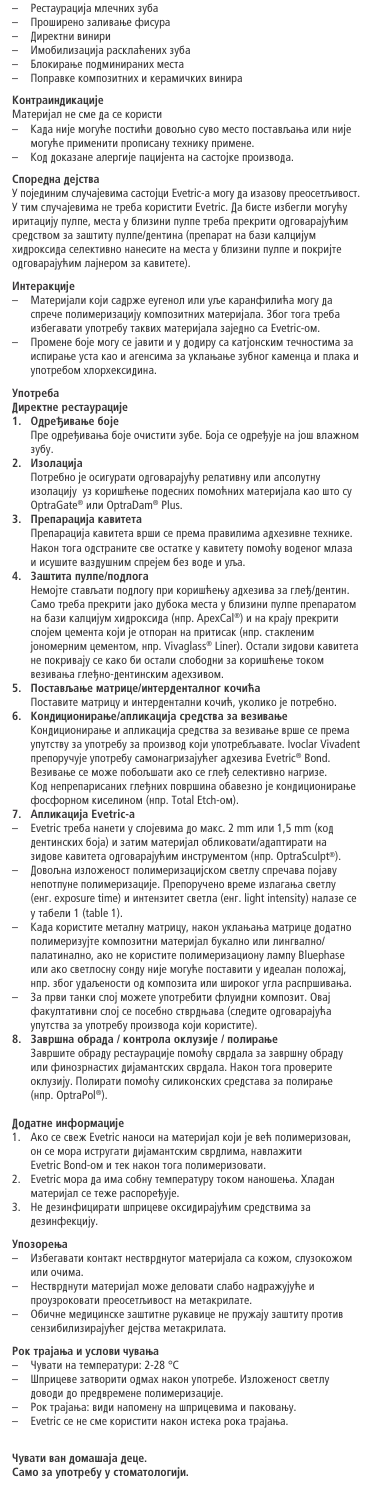- Рестаурација млечних зуба
- Проширено заливање фисура
- Директни винири
- н<br>Имобилизација расклаћених зуба
- Блокирање подминираних места
- Поправке композитних и керамичких винира

- **Контраиндикације**<br>Материјал не сме да се користи
- Када није могуће постићи довољно суво место постављања или није
- могуће применити прописану технику примене.<br>— Код доказане алергије пацијента на састојке производа.

### Споредна дејства

У појединим случајевима састојци Evetric-а могу да изазову преосетљивост У тим случајевима не треба користити Evetric. Да бисте избегли могућу<br>иритацију пулпе, места у близини пулпе треба прекрити одговарајућим средством за заштиту пулпе/дентина (препарат на бази калцијум хидроксида селективно нанесите на места у близини пулпе и покријте одговарајућим лајнером за кавитете).

- **Интеракције**<br>— Материјали који садрже еугенол или уље каранфилића могу да спрече полимеризацију композитних материјала. Због тога треба избегавати употребу таквих материјала заједно са Evetric-ом Промене боје могу се јавити и у додиру са катјонским течностима за
- испирање уста као и агенсима за уклањање зубног каменца и плака и<br>употребом хлорхексидина.

## **Употреба**

- **Директне рестаурације**<br>**1. Одређивање боје**<br> Пре одређивања боје очистити зубе. Боја се одређује на још влажном  $3V6V.$
- 
- **2. àÁÓ·ˆË¿‡** èÓÚ·ÌÓ ¿Â ÓÒ˄ۇÚË Ó‰"Ó'‡‡¿ÛÃÛ ·ÚË'ÌÛ ËÎË ‡ÔÒÓÎÛÚÌÛ ËÁÓ·ˆË¿Û ÛÁ ÍÓ˯ÃÂøÂ ÔÓ‰ÂÒÌËı ÔÓÏÓÃÌËı χÚÂË¿‡Î‡ ͇Ó ¯ÚÓ ÒÛ OptraGate® ËÎË OptraDam® Plus. **3. èÂÔ‡‡ˆË¿‡ ͇'ËÚÂÚ‡**
- 

Препарација кавитета врши се према правилима адхезивне техн Након тога одстраните све остатке у кавитету помоћу воденог млаза<br>и исушите ваздушним спрејем без воде и уља.

 $3$ аштита пулпе/подлога

Немојте стављати подлогу при коришћењу адхезива за глеђ/дентин.<br>Само треба прекрити јако дубока места у близини пулпе препаратом на бази калцијум хидроксида (нпр. ApexCal®) и на крају прекрити слојем цемента који је отпоран на притисак (нпр. стакленим<br>јономерним цементом, нпр. Vivaglass® Liner). Остали зидови кавитета не покривају се како би остали слободни за коришћење током

# ' везивања глеђно-дентинским адехзивом.<br>5. **Постављање матрице/интерденталног кочића**

Поставите матрицу и интердентални кочић, уколико је потребно. **6. Кондиционирање/апликација средства за везивање<br>Кондиционирање и апликација средства за везивање врше се према** упутству за употребу за производ који употребљавате. Ivoclar Vivadent препоручује употребу самонагризајућег адхезива Evetric® Bond.<br>Везивање се може побољшати ако се глеђ селективно нагризе.<br>Код непрепарисаних глеђних површина обавезно је кондиционирање фосфорном киселином (нпр. Total Etch-ом).

## $\overline{a}$  **Апликација Evetric-а**

Evetric треба нанети у слојевима до макс. 2 mm или 1,5 mm (код дентинских боја) и затим материјал обликовати/адаптирати на<br>зидове кавитета одговарајућим инструментом (нпр. OptraSculpt®). Довољна изложеност полимеризацијском светлу спречава појаву непотпуне полимеризације. Препоручено време излагања светлу<br>(енг. exposure time) и интензитет светла (енг. light intensity) налазе се у табели 1 (table 1).

- Када користите металну матрицу, након уклањања матрице додатно<br>полимеризујте композитни материјал букално или лингвално/ палатинално, ако не користите полимеризациону лампу Bluephase или ако светлосну сонду није могуће поставити у идеалан положај,<br>нпр. због удаљености од композита или широког угла распршивања.
- За први танки слој можете употребити флуидни композит. Овај<br>факултативни слој се посебно стврдњава (следите одговарајућа<br>упутства за употребу производа који користите).

 $8.$  Завршна обрада / контрола оклузије / полиран Завршите обраду рестаурације помоћу сврдала за завршну обраду<br>или финозрнастих дијамантских сврдала. Након тога проверите<br>оклузију. Полирати помоћу силиконских средстава за полирање (нпр. OptraPol®).

## $\beta$ Одатне информације

- 1. Ако се свеж Evetric наноси на материјал који је већ полимеризован,<br>он се мора истругати дијамантским сврдлима, навлажити Evetric Bond-ом и тек након тога полимеризовати.
- 2. Evetric мора да има собну температуру током наношења. Хладан материјал се теже распоређује.
- 3. Не дезинфицирати шприцеве оксидирајућим средствима за дезинфекцију.

## **Упозорен**

- Избегавати контакт нестврднутог материјала са кожом, слузокожом **EMNIO NHN**
- Нестврднути материјал може деловати слабо надражујуће и<br>проузроковати преосетљивост на метакрилате.
- Обичне медицинске заштитне рукавице не пружају заштиту против сензибилизирајућег дејства метакрилата.

# **Рок трајања и услови чувања**<br>— Чувати на температури: 2-28 °C

- Шприцеве затворити одмах након употребе. Изложеност светлу
- доводи до предвремене полимеризације.<br>– Рок трајања: види напомену на шприцевима и паковању.<br>– Evetric се не сме користити након истека рока трајања.
- 

Чувати ван домашаја деце.<br>Само за употребу у стоматологији.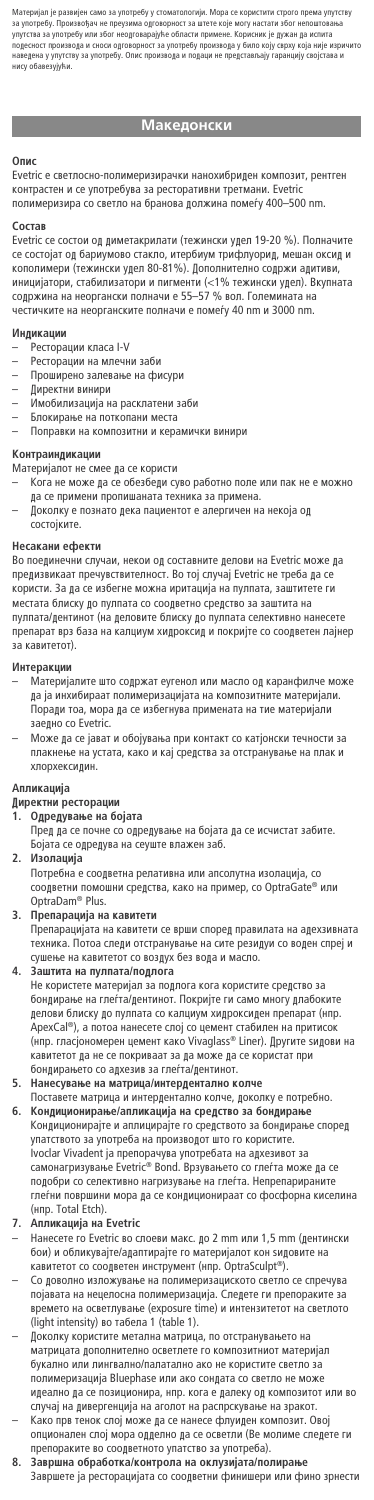Материјал је развијен само за употребу у стоматологији. Мора се користити строго према упутству<br>за употребу. Произвођач не преузима одговорност за штете које могу настати због непоштовања<br>упутства за употребу или због нео ведена <mark>у упутс</mark><br>Icv обавезvivћи

## **Македонски**

### O<sub>nuc</sub>

Evetric е светлосно-полимеризирачки нанохибриден композит, рентген контрастен и се употребува за ресторативни третмани. Evetric полимеризира со светло на бранова должина помеѓу 400-500 nm

## $C$ **OCTAB**

Evetric се состои од диметакрилати (тежински удел 19-20 %). Полначите се состојат од бариумово стакло, итербиум трифлуорид, мешан оксид и кополимери (тежински удел 80-81%). Дополнително содржи адитиви иницијатори, стабилизатори и пигменти (<1% тежински удел). Вкупната<br>содржина на неоргански полначи е 55—57 % вол. Големината на честичките на неорганските полначи е помеѓу 40 nm и 3000 nm.

#### **Индикации**

- 
- Ресторации класа I-V<br>— Ресторации на млечни заби
- Проширено залевање на фисури Пиректни винири
- 
- Имобилизација на расклатени заби Блокирање на поткопани места
- Поправки на композитни и керамички винири
- 

## Контраиндикации

- $\overline{\phantom{a}}$ Материјалот не смее да се користи
	- Кога не може да се обезбеди суво работно поле или пак не е можно кога не шоже да се оосоосди суво равотно поле
- ..<br>Доколку е познато дека пациентот е алергичен на некоја од состојките

## Несакани ефекти

Во поединечни случаи, некои од составните делови на Evetric може да<br>предизвикаат пречувствителност. Во тој случај Evetric не треба да се предпоставит презуватенитените татуру други и трети да те<br>користи. За да се избегне можна иритација на пулпата, заштитете ги местата блиску до пулпата со соодветно средство за заштита на<br>пулпата/дентинот (на деловите блиску до пулпата селективно нанесете препарат врз база на калциум хидроксид и покријте со соодветен лајнер за кавитетот).

- **Интеракции**<br>– Материјалите што содржат еугенол или масло од каранфилче може да ја инхибираат полимеризацијата на композитните материјали. Поради тоа, мора да се избегнува примената на тие материјали заелно со Evetric.
- Може да се јават и обојувања при контакт со катјонски течности за плакнење на устата, како и кај средства за отстранување на плак и хлорхекси дин

### **Апликација**

## Директни ресторации

- 
- **1. é‰Â‰Û'‡øÂ ̇ ·Ó¿‡Ú‡** è‰ ‰‡ ÒÂ ÔÓ˜ÌÂ ÒÓ Ӊ‰ۂ‡øÂ ̇ ·Ó¿‡Ú‡ ‰‡ ÒÂ ËÒ˜ËÒÚ‡Ú Á‡·ËÚÂ. Ъојата се одредува на сеуште влажен заб
- 2. Изолација

Потребна е соодветна релативна или апсолутна изолација, со соодветни помошни средства, како на пример, со OptraGate® или OptraDam® Plus.

 $\overline{3}$ . Препарација на кавитети

èÂÔ‡‡ˆË¿‡Ú‡ ̇ ͇'ËÚÂÚË ÒÂ '¯Ë ÒÔÓ‰ Ô‡'Ë·ڇ ̇ ‡‰ÂıÁ˂̇ڇ техника. Потоа следи отстранување на сите резидуи со воден спреј и<br>сушење на кавитетот со воздух без вода и масло.

**4.** Заштита на пулпата/подлога Не користете материјал за подлога кога користите средство за<br>бондирање на глеѓта/дентинот. Покријте ги само многу длабоките делови блиску до пулпата со калциум хидроксиден препарат (нпр ApexCal®), а потоа нанесете слој со цемент стабилен на притисок<br>(нпр. гласјономерен цемент како Vivaglass® Liner). Другите ѕидови на кавитетот да не се покриваат за да може да се користат при бондирањето со адхезив за глеѓта/дентинот.

- 5. Нанесување на матрица/интердентално колче
- Поставете матрица и интердентално колче, доколку е потребно. **6. Кондиционирање/апликација на средство за бондирање<br>Кондиционирајте и аплицирајте го средството за бондирање според** упатството за употреба на производот што го користите. Ivoclar Vivadent ja препорачува употребата на адхезивот за<br>самонагризување Evetric® Bond. Врзувањето со глеѓта може да се ÔÓ‰Ó·Ë ÒÓ ÒÂÎÂÍÚË'ÌÓ ̇"ËÁÛ'‡øÂ ̇ "ÎÂØÚ‡. çÂÔÂԇˇÌËÚÂ глеѓни површини мора да се кондиционираат со фосфорна киселина<br>(нпр. Total Etch).
- $A$ пликација на Evetric
- Нанесете го Evetric во слоеви макс. до 2 mm или 1,5 mm (дентински<br>бои) и обликувајте/адаптирајте го материјалот кон ѕидовите на кавитетот со соодветен инструмент (нпр. OptraSculpt®).
- Со доволно изложување на полимеризациското светло се спречува<br>појавата на нецелосна полимеризација. Следете ги препораките за времето на осветлување (exposure time) и интензитетот на светлото (light intensity) во табела 1 (table 1).
- Поколку користите метална матрица, по отстранувањето на ...<br>матрицата дополнително осветлете го композитниот материјал букално или лингвално/палатално ако не користите светло за полимеризација Bluephase или ако сондата со светло не може идеално да се позиционира, нпр. кога е далеку од композитот или во
- случај на дивергенција на аголот на распрскување на зракот.<br>— Како прв тенок слој може да се нанесе флуиден композит. Овој опционален слој мора одделно да се осветли (Ве молиме следете ги
- препораките во соодветното упатство за употреба).<br>**8. Завршна обработка/контрола на оклузијата/полирање<br>Завршете ја ресторацијата со соодветни финишери или фино зрнести**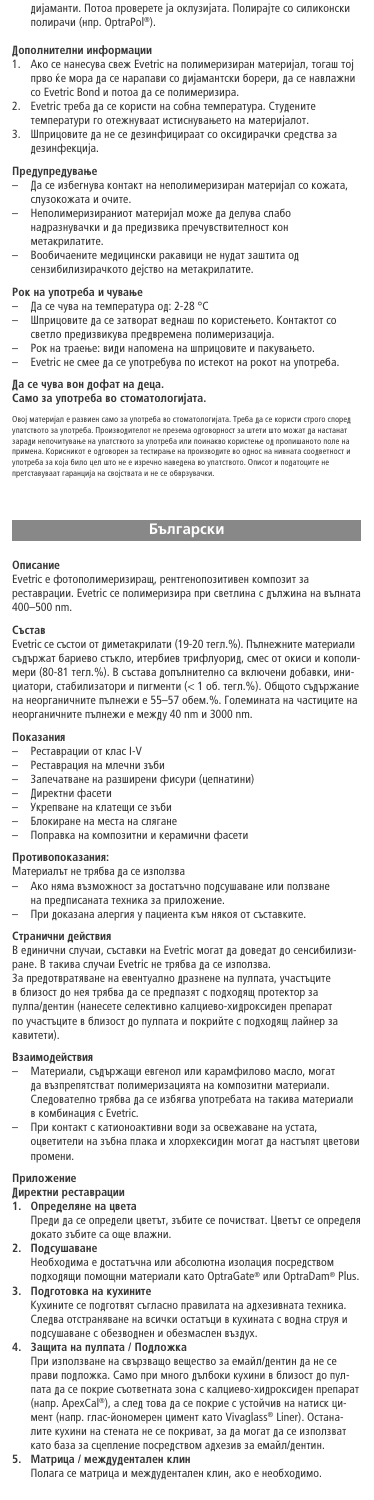дијаманти. Потоа проверете ја оклузијата. Полирајте со силиконски<br>полирачи (нпр. OptraPol®).

## Дополнителни информаци

- Ако се нанесува свеж Evetric на полимеризиран материјал, тогаш тој прво ќе мора да се нарапави со дијамантски борери, да се навлажни<br>co Evetric Bond и потоа да се полимеризира.
- 2. Evetric треба да се користи на собна температура. Студените
- температури го отежнуваат истиснувањето на материјалот.
- леннературите в свиждение постояние со оксидирачки средства за дезинфекција.

## Предупредување

- ла ос избегнува контакт на неполимеризиран материјал со кожата, —<br>слузокожата и очите.
- Неполимеризираниот материјал може да делува слабо надразнувачки и да предизвика пречувствителност кон метакрилатите.
- Вообичаените медицински ракавици не нудат заштита од сензибилизирачкото дејство на метакрилатите.

- **Рок на употреба и чување**<br>— Да се чува на температура од: 2-28 °C
- да са чува на таннаранура една на такото<br>Шприцовите да се затворат веднаш по користењето. Контактот со светло предизвикува предвремена полимеризација.
- Рок на траење: види напомена на шприцовите и пакувањето.
- Evetric не смее да се употребува по истекот на рокот на употреба.
- $\int$  Да се чува вон дофат на деца.

## Само за употреба во стоматологијата.

Овој материјал е развиен само за употреба во стоматологијата. Треба да се користи строго спореден<br>упатството за употреба. Производителот не презема одговорност за штеги што можат да настанат<br>примена. Корисникот е одговоре ОР ТЕ ТЕ 15 ДР ТЕНЕ ДР 11 ВР 11 ДР 11 ВР 11 ДР 11 ВР 11 ДР 11 ВР 12<br>Гставуваат гаранција на својствата и не се обврзувач

## **Български**

## On<sub>MC</sub>

Evetric е фотополимеризиращ, рентгенопозитивен композит за реставрации. Evetric се полимеризира при светлина с дължина на вълната<br>400–500 nm.

#### $C$ ъстав

Evetric се състои от диметакрилати (19-20 тегл.%). Пълнежните материали съдържат бариево стъкло, итербиев трифлуорид, смес от окиси и кополи-<br>мери (80-81 тегл.%). В състава допълнително са включени добавки, инитертом, стабилизатори и пигменти (< 1 об. тегл.%). Общото съдържание<br>циатори, стабилизатори и пигменти (< 1 об. тегл.%). Общото съдържание<br>на неорганичните пълнежи е 55–57 обем.%. Големината на частиците на на неорганичните пълнежи е 55–57 обем.%. неорганичните пълнежи е между 40 nm и 3000 nm.

### **Dovazause**

- Реставрации от клас I-V
- Реставрация на млечни зъби
- Запечатване на разширени фисури (цепнатини)
- Директни фасети
- 
- Укрепване на клатещи се зъби<br>– Влокиране на места на слягане
- Поправка на композитни и керамични фасети

#### Противопоказания:

- 
- Материалът не трябва да се използва<br>— Ако няма възможност за достатъчно подсушаване или ползване
- на предписаната техника за приложение.
	- При доказана алергия у пациента към някоя от съставките.

**Странични действия**<br>В единични случаи, съставки на Evetric могат да доведат до сенсибилизиpaне. В такива случаи Evetric не трябва да се използва

.<br>За предотвратяване на евентуално дразнене на пулпата, участъците в близост до нея трябва да се предпазят с подходящ протектор за О ОЛИЗОС: ДО ЛЕН ТРИОСТ ДЕ ЕЕ ПРЕДПЕНИ В ОЛИЗОК ИДЕН ПРЕПАРАТ<br>ПУЛПА/Дентин (нанесете селективно калциево-хидроксиден препарат по участъците в близост до пулпата и покрийте с подходящ лайнер за<br>кавитети). .<br>итети)

#### Взаимолействия

- Материали, съдържащи евгенол или карамфилово масло, могат да възпрепятстват полимеризацията на композитни материали.<br>Следователно трябва да се избягва употребата на такива материали в комбинация с Evetric.
- При контакт с катионоактивни води за освежаване на устата,<br>оцветители на зъбна плака и хлорхексидин могат да настъпят цветови промени.

## Приложение

- **Директни реставрации**<br>1. Определяне на цвета
- Преди да се определи цветът, зъбите се почистват. Цветът се определя докато зъбите са още влажни.
- 2. Подсушаване
- Необходима е достатъчна или абсолютна изолация посредством<br>подходящи помощни материали като OptraGate® или OptraDam® Plus. **3.** Подготовка на кухините
- Кухините се подготвят съгласно правилата на адхезивната техника Следва отстраняване на всички остатъци в кухината с водна струя и подсушаване с обезводнен и обезмаслен въздух.
- **4.** Защита на пулпата / Подложка
	- При използване на свързващо вещество за емайл/дентин да не се прави подложка. Само при много дълбоки кухини в близост до пул пата да се покрие съответната зона с калциево-хидроксиден препарат (напр. АрехСаl®), а след това да се покрие с устойчив на натиск ци-<br>мент (напр. глас-йономерен цимент като Vivaglass® Liner). Останалити улице тити и постиганерен дишени и на согладавате сандар в силите.<br>Лите кухини на стената не се покриват, за да могат да се използват като база за сцепление посредством адхезив за емайл/дентин.

## $5.$  Матрица / междудентален клин

Полага се матрица и междудентален клин, ако е необходимо.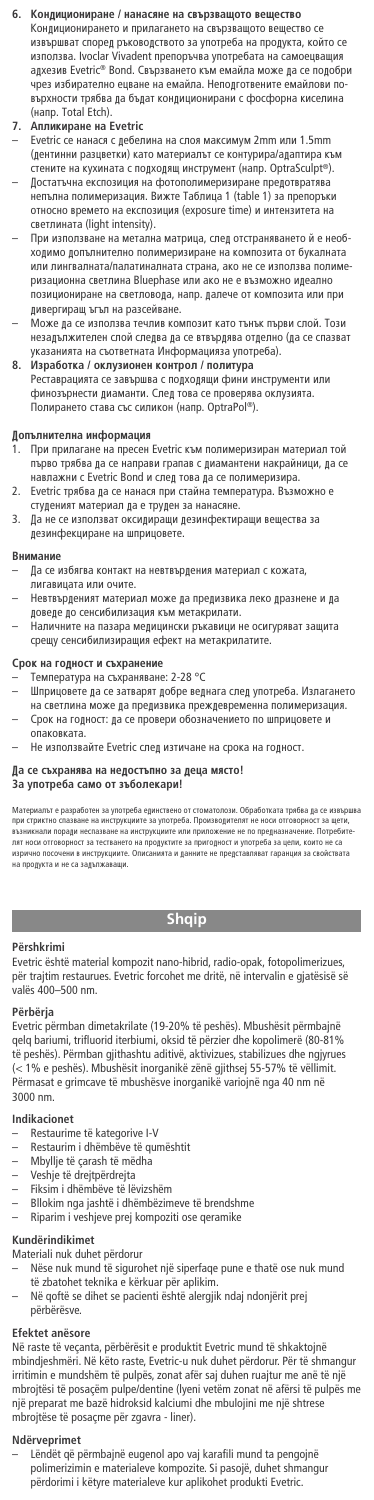## $6.$  Кондициониране / нанасяне на свързващото вещество

Кондиционирането и прилагането на свързващото вещество се извършват според ръководството за употреба на продукта, който се<br>използва. Ivoclar Vivadent препоръчва употребата на самоецващия адхезив Evetric® Bond. Свързването към емайла може да се подобри<br>чрез избирателно ецване на емайла. Неподготвените емайлови почрез избирателно ецване на емайла. Неподготвените емайлови по-<br>върхности трябва да бъдат кондиционирани с фосфорна киселина<br>(напр. Total Etch).

- **7. Апликиране на Evetric<br>— Evetric се нанася с дебелина на слоя максимум 2mm или 1.5mm** (дентинни разцветки) като материалът се контурира/адаптира кт стените на кухината с подходящ инструмент (напр. OptraSculpt®). Достатъчна експозиция на фотополимеризиране предотвратява иепълна полимеризация. Вижте Таблица 1 (table 1) за препоръки относно времето на експозиция (exposure time) и интензитета на светлината (light intensity).
- При използване на метална матрица, след отстраняването й е необ ходимо допълнително полимеризиране на композита от букалната или лингвалната/палатиналната страна, ако не се използва полиме ризационна светлина Bluephase или ако не е възможно идеално позициониране на светловода, напр. далече от композита или при дивергиращ ъгъл на разсейване.
- Може да се използва течлив композит като тънък първи слой. Този незадължителен слой следва да се втвърдява отделно (да се спазват<br>указанията на съответната Информацияза употреба).
- $8.$  Изработка / оклузионен контрол / политура Реставрацията се завършва с подходящи фини инструменти или финозърнести диаманти. След това се проверява оклузията. Полирането става със силикон (напр. OptraPol®).

# **Допълнителна информация**<br>1 При припагане на пресен

- При прилагане на пресен Evetric към полимеризиран материал той първо трябва да се направи грапав с диамантени накрайници, да се<br>навлажни с Evetric Bond и след това да се полимеризира.
- 2. Evetric трябва да се нанася при стайна температура. Възможно е
- студеният материал да е труден за нанасяне.<br>3. Да не се използват оксидиращи дезинфектиращи вещества за ...<br>дезинфекциране на шприцовете.

- В**нимание**<br>— ⊥ Да се избягва контакт на невтвърдения материал с кожата, игавицата или очите.
- Невтвърденият материал може да предизвика леко дразнене и да
- доведе до сенсибилизация към метакрилати.<br>— Наличните на пазара медицински ръкавици не осигуряват защита срещу сенсибилизиращия ефект на метакрилатите.

## Срок на годност и съхранение

- 
- Температура на съхраняване: 2-28 °C<br>– Шприцовете да се затварят добре веднага след употреба. Излагането на светлина може да предизвика преждевременна полимеризация. Срок на годност: да се провери обозначението по шприцовете и спаковката
- Не използвайте Evetric след изтичане на срока на годност.

#### $\int$ а се съхранява на недостъпно за деца място!

## $\frac{1}{3}$ а употреба само от зъболекари!

Материалът е разработен за употреба единствено от стоматолози. Обработката трябва да се извършва<br>при стриктно спазване на инструкциите за употреба. Производителят не носи отговорност за щети,<br>възникнали поради неспазване лят носи отговорност за тестването на продуктите за пригодност и употреба за цели, които не са<br>изрично посочени в инструкциите. Описанията и данните не представляват гаранция за свойства изрично посочени в инструкциите. Описанията и данните не представляват гаранция за свойствата<br>на продукта и не са задължаващи.

## **Shqip**

### **Përshkrimi**

Evetric është material kompozit nano-hibrid, radio-opak, fotopolimerizues, për trajtim restaurues. Evetric forcohet me dritë, në intervalin e gjatësisë së valës 400–500 nm.

## **Përbërja**

Evetric përmban dimetakrilate (19-20% të peshës). Mbushësit përmbajnë qelq bariumi, trifluorid iterbiumi, oksid të përzier dhe kopolimerë (80-81% të peshës). Përmban gjithashtu aditivë, aktivizues, stabilizues dhe ngjyrues (< 1% e peshës). Mbushësit inorganikë zënë gjithsej 55-57% të vëllimit. Përmasat e grimcave të mbushësve inorganikë variojnë nga 40 nm në 3000 nm.

## **Indikacionet**

- Restaurime të kategorive I-V
- Restaurim i dhëmbëve të qumështit
- 
- Mbyllje të çarash të mëdha Veshje të drejtpërdrejta
- Fiksim i dhëmbëve të lëvizshëm
- Bllokim nga jashtë i dhëmbëzimeve të brendshme
- Riparim i veshjeve prej kompoziti ose qeramike

#### **Kundërindikimet**

Materiali nuk duhet përdorur

- Nëse nuk mund të sigurohet një siperfaqe pune e thatë ose nuk mund të zbatohet teknika e kërkuar për aplikim.
	- Në qoftë se dihet se pacienti është alergjik ndaj ndonjërit prej përbërësve.

## **Efektet anësore**

Në raste të veçanta, përbërësit e produktit Evetric mund të shkaktojnë mbindjeshmëri. Në këto raste, Evetric-u nuk duhet përdorur. Për të shmangur irritimin e mundshëm të pulpës, zonat afër saj duhen ruajtur me anë të një mbrojtësi të posaçëm pulpe/dentine (lyeni vetëm zonat në afërsi të pulpës me një preparat me bazë hidroksid kalciumi dhe mbulojini me një shtrese mbrojtëse të posaçme për zgavra - liner).

## **Ndërveprimet**

– Lëndët që përmbajnë eugenol apo vaj karafili mund ta pengojnë polimerizimin e materialeve kompozite. Si pasojë, duhet shmangur përdorimi i këtyre materialeve kur aplikohet produkti Evetric.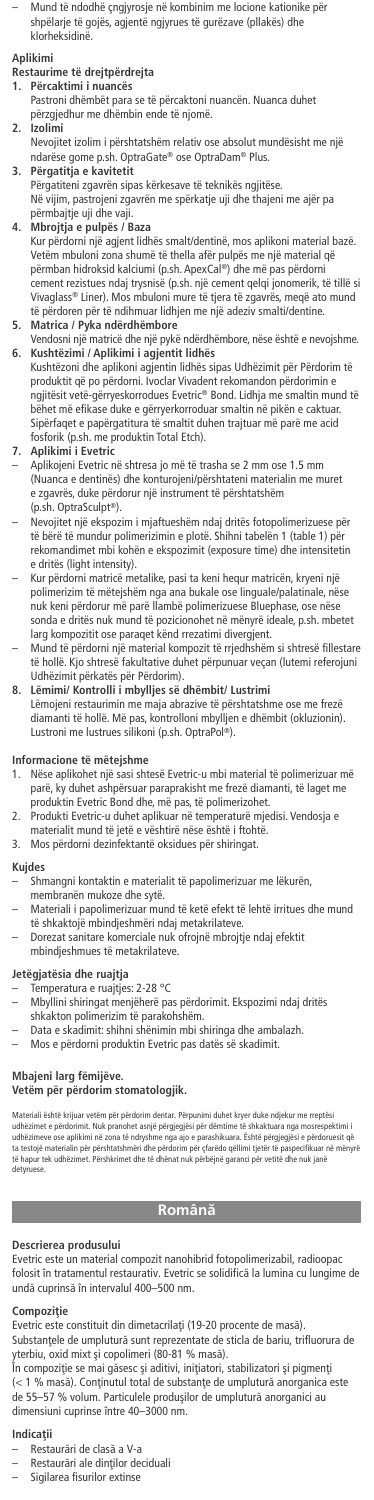– Mund të ndodhë çngjyrosje në kombinim me locione kationike për shpëlarje të gojës, agjentë ngjyrues të gurëzave (pllakës) dhe klorheksidinë.

## **Aplikimi**

# **Restaurime të drejtpërdrejta**

**1. Përcaktimi i nuancës** Pastroni dhëmbët para se të përcaktoni nuancën. Nuanca duhet përzgjedhur me dhëmbin ende të njomë.

## **2. Izolimi**

- Nevojitet izolim i përshtatshëm relativ ose absolut mundësisht me një ndarëse gome p.sh. OptraGate® ose OptraDam® Plus.
- **3. Përgatitja e kavitetit**
	- Përgatiteni zgavrën sipas kërkesave të teknikës ngjitëse. Në vijim, pastrojeni zgavrën me spërkatje uji dhe thajeni me ajër pa përmbajtje uji dhe vaji.
	- **4. Mbrojtja e pulpës / Baza** Kur përdorni një agjent lidhës smalt/dentinë, mos aplikoni material bazë. Vetëm mbuloni zona shumë të thella afër pulpës me një material që përmban hidroksid kalciumi (p.sh. ApexCal ®) dhe më pas përdorni cement rezistues ndaj trysnisë (p.sh. një cement qelqi jonomerik, të tillë si Vivaglass® Liner). Mos mbuloni mure të tjera të zgavrës, meqë ato mund të përdoren për të ndihmuar lidhjen me një adeziv smalti/dentine. **5. Matrica / Pyka ndërdhëmbore**
	- Vendosni një matricë dhe një pykë ndërdhëmbore, nëse është e nevojshme.
	- **6. Kushtëzimi / Aplikimi i agjentit lidhës** Kushtëzoni dhe aplikoni agjentin lidhës sipas Udhëzimit për Përdorim të produktit që po përdorni. Ivoclar Vivadent rekomandon përdorimin e ngjitësit vetë-gërryeskorrodues Evetric® Bond. Lidhja me smaltin mund të bëhet më efikase duke e gërryerkorroduar smaltin në pikën e caktuar. Sipërfaqet e papërgatitura të smaltit duhen trajtuar më parë me acid fosforik (p.sh. me produktin Total Etch). **7. Aplikimi i Evetric**

- Aplikojeni Evetric në shtresa jo më të trasha se 2 mm ose 1.5 mm (Nuanca e dentinës) dhe konturojeni/përshtateni materialin me muret e zgavrës, duke përdorur një instrument të përshtatshëm (p.sh. OptraSculpt ®).
- Nevojitet një ekspozim i mjaftueshëm ndaj dritës fotopolimerizuese për të bërë të mundur polimerizimin e plotë. Shihni tabelën 1 (table 1) për rekomandimet mbi kohën e ekspozimit (exposure time) dhe intensitetin e dritës (light intensity).
- Kur përdorni matricë metalike, pasi ta keni hequr matricën, kryeni një polimerizim të mëtejshëm nga ana bukale ose linguale/palatinale, nëse nuk keni përdorur më parë llambë polimerizuese Bluephase, ose nëse sonda e dritës nuk mund të pozicionohet në mënyrë ideale, p.sh. mbetet larg kompozitit ose paraqet kënd rrezatimi divergjent.
- Mund të përdorni një material kompozit të rrjedhshëm si shtresë fillestare të hollë. Kjo shtresë fakultative duhet përpunuar veçan (lutemi referojuni Udhëzimit përkatës për Përdorim).
- **8. Lëmimi/ Kontrolli i mbylljes së dhëmbit/ Lustrimi** Lëmojeni restaurimin me maja abrazive të përshtatshme ose me frezë diamanti të hollë. Më pas, kontrolloni mbylljen e dhëmbit (okluzionin). Lustroni me lustrues silikoni (p.sh. OptraPol ®).

# **Informacione të mëtejshme**

- 1. Nëse aplikohet një sasi shtesë Evetric-u mbi material të polimerizuar më<br>parë, ky duhet ashpërsuar paraprakisht me frezë diamanti, të laget me<br>produktin Evetric Bond dhe, më pas, të polimerizohet.<br>2. Produkti Evetric-u
- 
- 3. Mos përdorni dezinfektantë oksidues për shiringat.

### **Kujdes**

- Shmangni kontaktin e materialit të papolimerizuar me lëkurën, membranën mukoze dhe sytë.
- Materiali i papolimerizuar mund të ketë efekt të lehtë irritues dhe mund
- të shkaktojë mbindjeshmëri ndaj metakrilateve. Dorezat sanitare komerciale nuk ofrojnë mbrojtje ndaj efektit mbindjeshmues të metakrilateve.

## **Jetëgjatësia dhe ruajtja**

- Temperatura e ruajtjes: 2-28 °C – Mbyllini shiringat menjëherë pas përdorimit. Ekspozimi ndaj dritës
- shkakton polimerizim të parakohshëm.
- Data e skadimit: shihni shënimin mbi shiringa dhe ambalazh.
- Mos e përdorni produktin Evetric pas datës së skadimit.

# **Mbajeni larg fëmijëve. Vetëm për përdorim stomatologjik.**

Materiali është krijuar vetëm për përdorim dentar. Përpunimi duhet kryer duke ndjekur me rreptësi<br>udhëzimet e përdorimit. Nuk pranohet asnjë përgjegjësi për dëmtime të shkaktuara nga mosrespektimi i<br>udhëzimeve ose aplikimi ta testojë materialin për përshtatshmëri dhe përdorim për çfarëdo qëllimi tjetër të paspecifikuar në mënyrë<br>të hapur tek udhëzimet. Përshkrimet dhe të dhënat nuk përbëjnë garanci për vetitë dhe nuk janë detyruese.

## **Românæ**

## **Descrierea produsului**

Evetric este un material compozit nanohibrid fotopolimerizabil, radioopac folosit în tratamentul restaurativ. Evetric se solidifică la lumina cu lungime de undă cuprinsă în intervalul 400-500 nm

## **Compoziflie**

- Evetric este constituit din dimetacrilați (19-20 procente de masă). Substanțele de umplutură sunt reprezentate de sticla de bariu, trifluorura de yterbiu, oxid mixt øi copolimeri (80-81 % masæ).
- În compoziție se mai găsesc și aditivi, inițiatori, stabilizatori și pigmenți<br>(< 1 % masă). Conținutul total de substanțe de umplutură anorganica este de 55–57 % volum. Particulele produşilor de umplutură anorganici au dimensiuni cuprinse între 40–3000 nm.

### **Indicaflii**

- Restaurări de clasă a V-a
- Restaurări ale dinților deciduali
- Sigilarea fisurilor extinse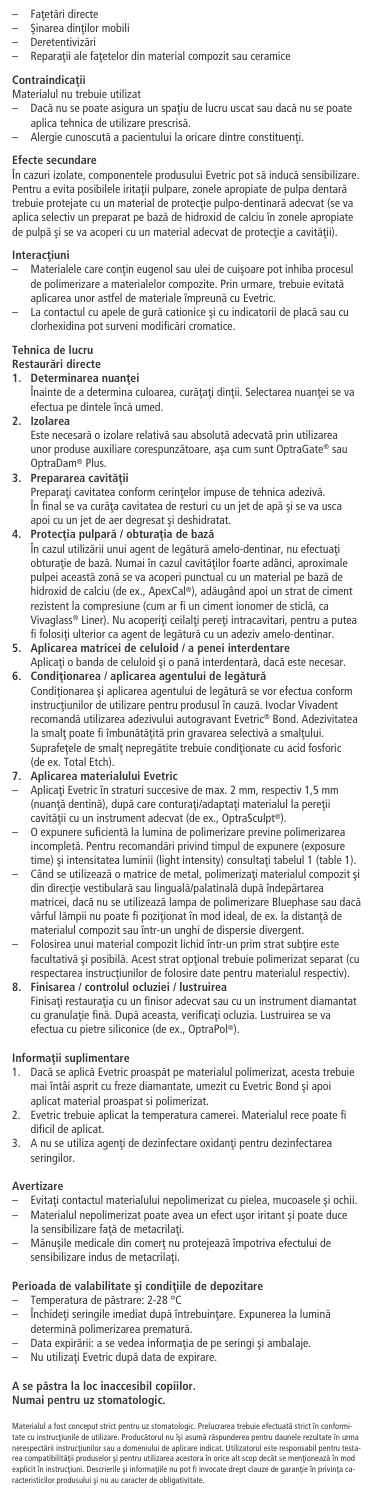- Fațetări directe
- Şinarea dinților mobili **Deretentivizări**
- Reparații ale fațetelor din material compozit sau ceramice

## **Contraindicaflii**

Materialul nu trebuie utilizat

- Dacă nu se poate asigura un spațiu de lucru uscat sau dacă nu se poate aplica tehnica de utilizare prescrisă.
- Alergie cunoscută a pacientului la oricare dintre constituenți.

## **Efecte secundare**

În cazuri izolate, componentele produsului Evetric pot să inducă sensibilizare. Pentru a evita posibilele iritații pulpare, zonele apropiate de pulpa dentară trebuie protejate cu un material de protecție pulpo-dentinară adecvat (se va aplica selectiv un preparat pe bazæ de hidroxid de calciu în zonele apropiate de pulpă și se va acoperi cu un material adecvat de protecție a cavității).

## **Interacțiuni**

- Materialele care conțin eugenol sau ulei de cuișoare pot inhiba procesul de polimerizare a materialelor compozite. Prin urmare, trebuie evitată aplicarea unor astfel de materiale împreună cu Evetric.<br>— La contactul cu apele de gură cationice și cu indicatorii de placă sau cu
- clorhexidina pot surveni modificæri cromatice.

## **Tehnica de lucru**

- Restaurări directe<br>1 **Determinarea**
- **1. Determinarea nuanflei**
- Înainte de a determina culoarea, curățați dinții. Selectarea nuanței se va efectua pe dintele încă umed.
- **2. Izolarea** Este necesaræ o izolare relativæ sau absolutæ adecvatæ prin utilizarea unor produse auxiliare corespunzătoare, așa cum sunt OptraGate® sau OptraDam® Plus.
- 
- **3. Prepararea cavității**<br>Preparați cavitatea conform cerințelor impuse de tehnica adezivă. În final se va curæfla cavitatea de resturi cu un jet de apæ øi se va usca apoi cu un jet de aer degresat și deshidratat.
- **4. Protecflia pulparæ / obturaflia de bazæ** În cazul utilizării unui agent de legătură amelo-dentinar, nu efectuați obturație de bază. Numai în cazul cavităților foarte adânci, aproximale pulpei această zonă se va acoperi punctual cu un material pe bază de<br>hidroxid de calciu (de ex., ApexCal®), adăugând apoi un strat de ciment rezistent la compresiune (cum ar fi un ciment ionomer de sticlă, ca Vivaglass® Liner). Nu acoperiți ceilalți pereți intracavitari, pentru a putea fi folositi ulterior ca agent de legătură cu un adeziv amelo-dentinar.
- **5. Aplicarea matricei de celuloid / a penei interdentare** Aplicați o banda de celuloid și o pană interdentară, dacă este necesar.
- **6. Condiflionarea / aplicarea agentului de legæturæ** Condiționarea și aplicarea agentului de legătură se vor efectua conform instrucțiunilor de utilizare pentru produsul în cauză. Ivoclar Vivadent recomandă utilizarea adezivului autogravant Evetric® Bond. Adezivitatea la smalţ poate fi îmbunătăţită prin gravarea selectivă a smalţului.<br>Suprafeţele de smalţ nepregătite trebuie condiţionate cu acid fosforic<br>(de ex. Total Etch).

## **7. Aplicarea materialului Evetric**

- Aplicați Evetric în straturi succesive de max. 2 mm, respectiv 1,5 mm<br>(nuanță dentină), după care conturați/adaptați materialul la pereții (nuanță dentină), după care conturați/adaptați materia cavității cu un instrument adecvat (de ex., OptraSculpt®).
- O expunere suficientæ la lumina de polimerizare previne polimerizarea incompletæ. Pentru recomandæri privind timpul de expunere (exposure time) și intensitatea luminii (light intensity) consultați tabelul 1 (table 1). Când se utilizează o matrice de metal, polimerizați materialul compozit și
- din direcție vestibulară sau linguală/palatinală după îndepărtarea matricei, dacă nu se utilizează lampa de polimerizare Bluephase sau dacă vârful lămpii nu poate fi poziționat în mod ideal, de ex. la distanță de<br>materialul compozit sau într-un unghi de dispersie divergent.
- Folosirea unui material compozit lichid într-un prim strat subțire este facultativă și posibilă. Acest strat opțional trebuie polimerizat separat (cu<br>respectarea instrucțiunilor de folosire date pentru materialul respectiv).
- **8. Finisarea / controlul ocluziei / lustruirea** Finisați restaurația cu un finisor adecvat sau cu un instrument diamantat<br>cu granulație fină. După aceasta, verificați ocluzia. Lustruirea se va efectua cu pietre siliconice (de ex., OptraPol ®).

## **Informaflii suplimentare**

- 1. Dacă se aplică Evetric proaspăt pe materialul polimerizat, acesta trebuie<br>mai întâi asprit cu freze diamantate, umezit cu Evetric Bond și apoi aplicat material proaspat si polimerizat.
- 2. Evetric trebuie aplicat la temperatura camerei. Materialul rece poate fi dificil de aplicat.
- 3. A nu se utiliza agenți de dezinfectare oxidanți pentru dezinfectarea seringilor.

## **Avertizare**

- Evitați contactul materialului nepolimerizat cu pielea, mucoasele și ochii. Materialul nepolimerizat poate avea un efect usor iritant si poate duce la sensibilizare față de metacrilați.
- Mănușile medicale din comerț nu protejează împotriva efectului de sensibilizare indus de metacrilați.

# **Perioada de valabilitate øi condifliile de depozitare** – Temperatura de pæstrare: 2-28 °C

- Închideți seringile imediat după întrebuințare. Expunerea la lumină determină polimerizarea prematură.
- Data expirării: a se vedea informația de pe seringi și ambalaje.
- Nu utilizați Evetric după data de expirare.

# **A se pæstra la loc inaccesibil copiilor.**

**Numai pentru uz stomatologic.**

Materialul a fost conceput strict pentru uz stomatologic. Prelucrarea trebuie efectuată strict în conformi-<br>tate cu instrucțiunile de utilizare. Producătorul nu își asumă răspunderea pentru daunele rezultate în urma nerespectării instrucțiunilor sau a domeniului de aplicare indicat. Utilizatorul este responsabil pentru testa-<br>rea compatibilității produselor și pentru utilizarea acestora în orice alt scop decât se menționează în mod<br>ex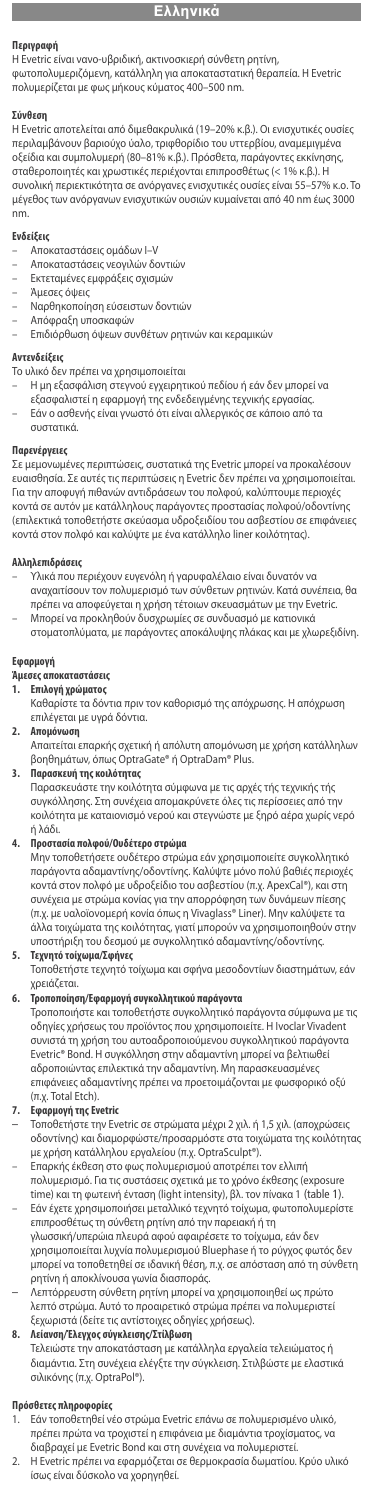**Περιγραφή** Η Evetric είναι νανο-υβριδική, ακτινοσκιερή σύνθετη ρητίνη,

φωτοπολυμεριζόμενη, κατάλληλη για αποκαταστατική θεραπεία. Η Evetric πολυμερίζεται με φως μήκους κύματος 400–500 nm.

### **Σύνθεση**

Η Evetric αποτελείται από διμεθακρυλικά (19–20% κ.β.). Οι ενισχυτικές ουσίες περιλαμβάνουν βαριούχο ύαλο, τριφθορίδιο του υττερβίου, αναμεμιγμένα οξείδια και συμπολυμερή (80–81% κ.β.). Πρόσθετα, παράγοντες εκκίνησης, σταθεροποιητές και χρωστικές περιέχονται επιπροσθέτως (< 1% κ.β.). Η συνολική περιεκτικότητα σε ανόργανες ενισχυτικές ουσίες είναι 55–57% κ.ο. Το μέγεθος των ανόργανων ενισχυτικών ουσιών κυμαίνεται από 40 nm έως 3000 nm.

- **Ενδείξεις** Αποκαταστάσεις ομάδων I–V
- Αποκαταστάσεις νεογιλών δοντιών
- Εκτεταμένες εμφράξεις σχισμών
- Άμεσες όψεις
- Ναρθηκοποίηση εύσειστων δοντιών
- Απόφραξη υποσκαφών
- Επιδιόρθωση όψεων συνθέτων ρητινών και κεραμικών

#### **Αντενδείξεις**

- Το υλικό δεν πρέπει να χρησιμοποιείται Η μη εξασφάλιση στεγνού εγχειρητικού πεδίου ή εάν δεν μπορεί να εξασφαλιστεί η εφαρμογή της ενδεδειγμένης τεχνικής εργασίας.
- 
- Εάν ο ασθενής είναι γνωστό ότι είναι αλλεργικός σε κάποιο από τα συστατικά.

## **Παρενέργειες**

Σε μεμονωμένες περιπτώσεις, συστατικά της Evetric μπορεί να προκαλέσοι ευαισθησία. Σε αυτές τις περιπτώσεις η Evetric δεν πρέπει να χρησιμοποιείται. Για την αποφυγή πιθανών αντιδράσεων του πολφού, καλύπτουμε περιοχές κοντά σε αυτόν με κατάλληλους παράγοντες προστασίας πολφού/οδοντίνης (επιλεκτικά τοποθετήστε σκεύασμα υδροξειδίου του ασβεστίου σε επιφάνειες κοντά στον πολφό και καλύψτε με ένα κατάλληλο liner κοιλότητας).

#### **Αλληλεπιδράσεις**

- Υλικά που περιέχουν ευγενόλη ή γαρυφαλέλαιο είναι δυνατόν να αναχαιτίσουν τον πολυμερισμό των σύνθετων ρητινών. Κατά συνέπεια, θα πρέπει να αποφεύγεται η χρήση τέτοιων σκευασμάτων με την Evetric.
- Μπορεί να προκληθούν δυσχρωμίες σε συνδυασμό με κατιονικά στοματοπλύματα, με παράγοντες αποκάλυψης πλάκας και με χλωρεξιδίνη.

# ι<mark>αρμογή</mark><br>ιεσες απ

## **Άμεσες αποκαταστάσεις**

- **1. Επιλογή χρώματος**
	- Καθαρίστε τα δόντια πριν τον καθορισμό της απόχρωσης. Η απόχρωση επιλέγεται με υγρά δόντια.

## **2. Απομόνωση**

- Απαιτείται επαρκής σχετική ή απόλυτη απομόνωση με χρήση κατάλληλων βοηθημάτων, όπως OptraGate® ή OptraDam® Plus.
- **3. Παρασκευή της κοιλότητας**

Παρασκευάστε την κοιλότητα σύμφωνα με τις αρχές τής τεχνικής τής συγκόλλησης. Στη συνέχεια απομακρύνετε όλες τις περίσσειες από την κοιλότητα με καταιονισμό νερού και στεγνώστε με ξηρό αέρα χωρίς νερό ή λάδι.

#### **4. Προστασία πολφού/Ουδέτερο στρώμα**

Μην τοποθετήσετε ουδέτερο στρώμα εάν χρησιμοποιείτε συγκολλητικό παράγοντα αδαμαντίνης/οδοντίνης. Καλύψτε μόνο πολύ βαθιές περιοχές κοντά στον πολφό με υδροξείδιο του ασβεστίου (π.χ. ApexCal®), και στη συνέχεια με στρώμα κονίας για την απορρόφηση των δυνάμεων πίεσης (π.χ. με υαλοϊονομερή κονία όπως η Vivaglass® Liner). Μην καλύψετε τα άλλα τοιχώματα της κοιλότητας, γιατί μπορούν να χρησιμοποιηθούν στην υποστήριξη του δεσμού με συγκολλητικό αδαμαντίνης/οδοντίνης.

**5. Τεχνητό τοίχωμα/Σφήνες** Τοποθετήστε τεχνητό τοίχωμα και σφήνα μεσοδοντίων διαστημάτων, εάν χρειάζεται.

**6. Τροποποίηση/Εφαρμογή συγκολλητικού παράγοντα** Τροποποιήστε και τοποθετήστε συγκολλητικό παράγοντα σύμφωνα με τις οδηγίες χρήσεως του προϊόντος που χρησιμοποιείτε. Η Ivoclar Vivadent συνιστά τη χρήση του αυτοαδροποιούμενου συγκολλητικού παράγοντα Evetric® Bond. Η συγκόλληση στην αδαμαντίνη μπορεί να βελτιωθεί αδροποιώντας επιλεκτικά την αδαμαντίνη. Μη παρασκευασμένες επιφάνειες αδαμαντίνης πρέπει να προετοιμάζονται με φωσφορικό οξύ (π.χ. Total Etch).

#### **7. Εφαρμογή τηςEvetric**

- Τοποθετήστε την Evetric σε στρώματα μέχρι 2 χιλ. ή 1,5 χιλ. (αποχρώσεις οδοντίνης) και διαμορφώστε/προσαρμόστε στα τοιχώματα της κοιλότητας με χρήση κατάλληλου εργαλείου (π.χ. OptraSculpt®).
- Επαρκής έκθεση στo φως πoλυµερισµoύ απoτρέπει τoν ελλιπή πoλυµερισµό. Για τις συστάσεις σχετικά με το χρόνο έκθεσης (exposure time) και τη φωτεινή ένταση (light intensity), βλ. τον πίνακα 1 (table 1). – Εάν έχετε χρησιμοποιήσει μεταλλικό τεχνητό τοίχωμα, φωτοπολυμερίστε
- επιπροσθέτως τη σύνθετη ρητίνη από την παρειακή ή τη γλωσσική/υπερώια πλευρά αφού αφαιρέσετε το τοίχωμα, εάν δεν χρησιμοποιείται λυχνία πολυμερισμού Bluephase ή το ρύγχος φωτός δεν μπορεί να τοποθετηθεί σε ιδανική θέση, π.χ. σε απόσταση από τη σύνθετη ρητίνη ή αποκλίνουσα γωνία διασποράς.
- Λεπτόρρευστη σύνθετη ρητίνη μπορεί να χρησιμοποιηθεί ως πρώτο λεπτό στρώμα. Αυτό το προαιρετικό στρώμα πρέπει να πολυμεριστεί ξεχωριστά (δείτε τις αντίστοιχες οδηγίες χρήσεως).

## **8. Λείανση/Έλεγχoς σύγκλεισης/Στίλβωση**

Τελειώστε την αποκατάσταση με κατάλληλα εργαλεία τελειώματος ή διαμάντια. Στη συνέχεια ελέγξτε την σύγκλειση. Στιλβώστε με ελαστικά σιλικόνης (π.χ. OptraPol®).

# **Πρόσθετες πληροφορίες**

- 1. Εάν τοποθετηθεί νέο στρώμα Evetric επάνω σε πολυμερισμένο υλικό, πρέπει πρώτα να τροχιστεί η επιφάνεια με διαμάντια τροχίσματος, να διαβραχεί με Evetric Bond και στη συνέχεια να πολυμεριστεί.
- 2. Η Evetric πρέπει να εφαρμόζεται σε θερμοκρασία δωματίου. Κρύο υλικό ίσως είναι δύσκολο να χορηγηθεί.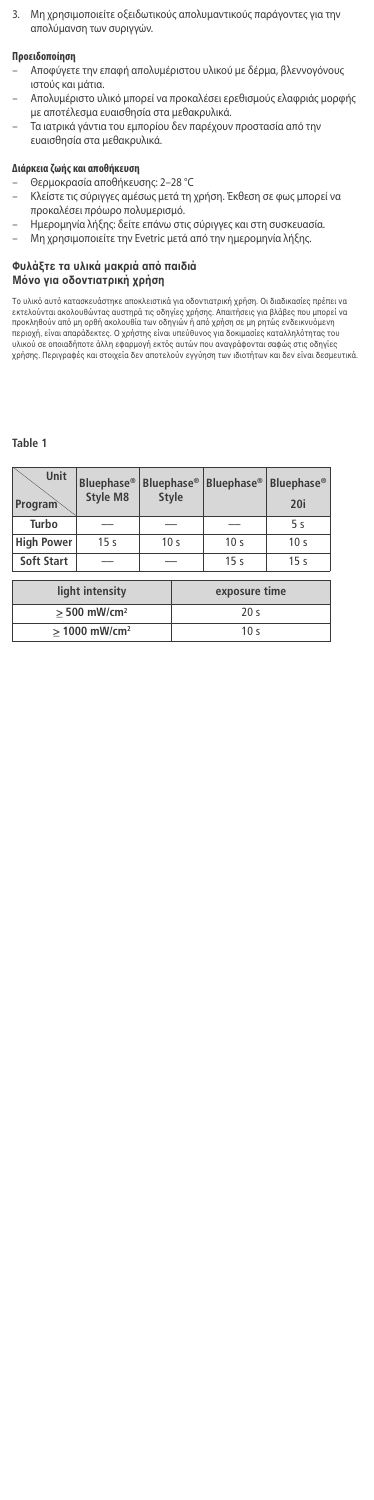3. Μη χρησιμοποιείτε οξειδωτικούς απολυμαντικούς παράγοντες για την απολύμανση των συριγγών.

## **Προειδοποίηση**

- Αποφύγετε την επαφή απολυμέριστου υλικού με δέρμα, βλεννογόνους ιστούς και μάτια.
- Απολυμέριστο υλικό μπορεί να προκαλέσει ερεθισμούς ελαφριάς μορφής με αποτέλεσμα ευαισθησία στα μεθακρυλικά.
- Τα ιατρικά γάντια του εμπορίου δεν παρέχουν προστασία από την ευαισθησία στα μεθακρυλικά.

- **Διάρκεια ζωής και αποθήκευση** Θερμοκρασία αποθήκευσης: 2–28 °C
- Κλείστε τις σύριγγες αμέσως μετά τη χρήση. Έκθεση σε φως μπορεί να προκαλέσει πρόωρο πολυμερισμό.
- Ημερομηνία λήξης: δείτε επάνω στις σύριγγες και στη συσκευασία.
- Μη χρησιμοποιείτε την Evetric μετά από την ημερομηνία λήξης.

## **Φυλάτε τα υλικά µακριά απ παιδιά**

**Μ ν για δντιατρική ρήση**

Το υλικό αυτό κατασκευάστηκε αποκλειστικά για οδοντιατρική χρήση. Οι διαδικασίες πρέπει εκτελουνται ακολουθωντας αυστηρα τις οδηγιες χρησης. Απαιτησεις για βλαβες που μπορεί να μπορεί να<br>προκληθούν από μη ορθή ακολουθία των οδηγιών ή από χρήση σε μη ρητώς ενδεικνυόμενη<br>υλικού σε σποιαδήποτε άλλη εφαρμαγή εκτ

#### **Table 1**

| Unit<br>Program   | <b>Bluephase®</b><br>Style M8 | Bluephase <sup>®</sup><br><b>Style</b> |                 | <b>Bluephase</b> <sup>®</sup> | <b>Bluephase®</b><br>20i |
|-------------------|-------------------------------|----------------------------------------|-----------------|-------------------------------|--------------------------|
| Turbo             |                               |                                        |                 |                               | 5 <sub>s</sub>           |
| <b>High Power</b> | 15 <sub>s</sub>               | 10 <sub>s</sub>                        |                 | 10 <sub>s</sub>               | 10 <sub>s</sub>          |
| Soft Start        |                               | __                                     |                 | 15 <sub>s</sub>               | 15 <sub>s</sub>          |
|                   | light intensity               |                                        | exposure time   |                               |                          |
|                   | $> 500$ mW/cm <sup>2</sup>    |                                        | 20 <sub>s</sub> |                               |                          |
|                   | $> 1000$ mW/cm <sup>2</sup>   |                                        | 10 <sub>s</sub> |                               |                          |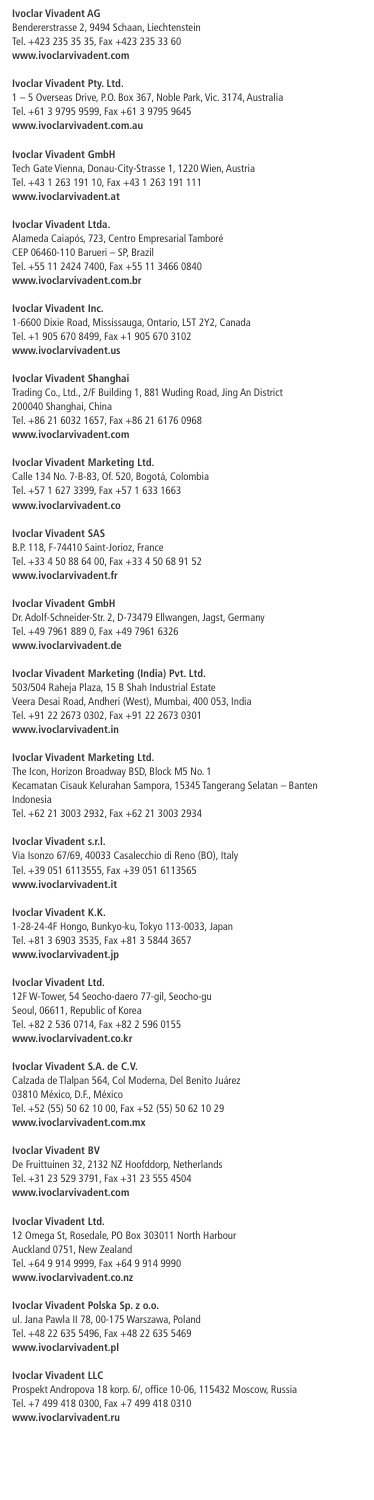## **Ivoclar Vivadent AG**

Bendererstrasse 2, 9494 Schaan, Liechtenstein Tel. +423 235 35 35, Fax +423 235 33 60 **www.ivoclarvivadent.com**

## **Ivoclar Vivadent Pty. Ltd.**

1 – 5 Overseas Drive, P.O. Box 367, Noble Park, Vic. 3174, Australia Tel. +61 3 9795 9599, Fax +61 3 9795 9645 **www.ivoclarvivadent.com.au**

## **Ivoclar Vivadent GmbH**

Tech Gate Vienna, Donau-City-Strasse 1, 1220 Wien, Austria Tel. +43 1 263 191 10, Fax +43 1 263 191 111 **www.ivoclarvivadent.at**

**Ivoclar Vivadent Ltda.**

Alameda Caiapós, 723, Centro Empresarial Tamboré CEP 06460-110 Barueri – SP, Brazil Tel. +55 11 2424 7400, Fax +55 11 3466 0840 **www.ivoclarvivadent.com.br**

## **Ivoclar Vivadent Inc.**

1-6600 Dixie Road, Mississauga, Ontario, L5T 2Y2, Canada Tel. +1 905 670 8499, Fax +1 905 670 3102 **www.ivoclarvivadent.us**

## **Ivoclar Vivadent Shanghai**

Trading Co., Ltd., 2/F Building 1, 881 Wuding Road, Jing An District 200040 Shanghai, China Tel. +86 21 6032 1657, Fax +86 21 6176 0968 **www.ivoclarvivadent.com**

## **Ivoclar Vivadent Marketing Ltd.**

Calle 134 No. 7-B-83, Of. 520, Bogotá, Colombia Tel. +57 1 627 3399, Fax +57 1 633 1663 **www.ivoclarvivadent.co**

**Ivoclar Vivadent SAS** B.P. 118, F-74410 Saint-Jorioz, France Tel. +33 4 50 88 64 00, Fax +33 4 50 68 91 52 **www.ivoclarvivadent.fr**

### **Ivoclar Vivadent GmbH**

Dr. Adolf-Schneider-Str. 2, D-73479 Ellwangen, Jagst, Germany Tel. +49 7961 889 0, Fax +49 7961 6326 **www.ivoclarvivadent.de**

## **Ivoclar Vivadent Marketing (India) Pvt. Ltd.** 503/504 Raheja Plaza, 15 B Shah Industrial Estate

Veera Desai Road, Andheri (West), Mumbai, 400 053, India Tel. +91 22 2673 0302, Fax +91 22 2673 0301 **www.ivoclarvivadent.in**

## **Ivoclar Vivadent Marketing Ltd.**

The Icon, Horizon Broadway BSD, Block M5 No. 1 Kecamatan Cisauk Kelurahan Sampora, 15345 Tangerang Selatan – Banten Indonesia

Tel. +62 21 3003 2932, Fax +62 21 3003 2934

### **Ivoclar Vivadent s.r.l.**

Via Isonzo 67/69, 40033 Casalecchio di Reno (BO), Italy Tel. +39 051 6113555, Fax +39 051 6113565 **www.ivoclarvivadent.it**

**Ivoclar Vivadent K.K.** 1-28-24-4F Hongo, Bunkyo-ku, Tokyo 113-0033, Japan Tel. +81 3 6903 3535, Fax +81 3 5844 3657 **www.ivoclarvivadent.jp**

#### **Ivoclar Vivadent Ltd.**

12F W-Tower, 54 Seocho-daero 77-gil, Seocho-gu Seoul, 06611, Republic of Korea Tel. +82 2 536 0714, Fax +82 2 596 0155 **www.ivoclarvivadent.co.kr**

## **Ivoclar Vivadent S.A. de C.V.**

Calzada de Tlalpan 564, Col Moderna, Del Benito Juárez 03810 México, D.F., México Tel. +52 (55) 50 62 10 00, Fax +52 (55) 50 62 10 29 **www.ivoclarvivadent.com.mx**

#### **Ivoclar Vivadent BV**

De Fruittuinen 32, 2132 NZ Hoofddorp, Netherlands Tel. +31 23 529 3791, Fax +31 23 555 4504 **www.ivoclarvivadent.com**

## **Ivoclar Vivadent Ltd.**

12 Omega St, Rosedale, PO Box 303011 North Harbour Auckland 0751, New Zealand Tel. +64 9 914 9999, Fax +64 9 914 9990 **www.ivoclarvivadent.co.nz**

## **Ivoclar Vivadent Polska Sp. z o.o.**

ul. Jana Pawla II 78, 00-175 Warszawa, Poland Tel. +48 22 635 5496, Fax +48 22 635 5469 **www.ivoclarvivadent.pl**

## **Ivoclar Vivadent LLC**

Prospekt Andropova 18 korp. 6/, office 10-06, 115432 Moscow, Russia Tel. +7 499 418 0300, Fax +7 499 418 0310 **www.ivoclarvivadent.ru**